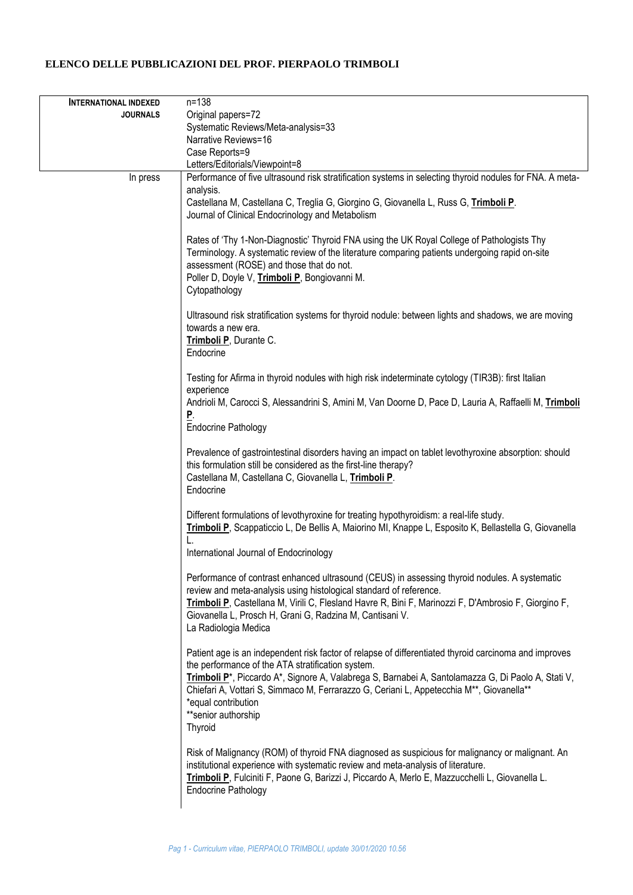## **ELENCO DELLE PUBBLICAZIONI DEL PROF. PIERPAOLO TRIMBOLI**

| <b>INTERNATIONAL INDEXED</b> | $n = 138$                                                                                                                                                                                                                                                                                                                                                                                                                                              |
|------------------------------|--------------------------------------------------------------------------------------------------------------------------------------------------------------------------------------------------------------------------------------------------------------------------------------------------------------------------------------------------------------------------------------------------------------------------------------------------------|
| <b>JOURNALS</b>              | Original papers=72                                                                                                                                                                                                                                                                                                                                                                                                                                     |
|                              | Systematic Reviews/Meta-analysis=33                                                                                                                                                                                                                                                                                                                                                                                                                    |
|                              | Narrative Reviews=16                                                                                                                                                                                                                                                                                                                                                                                                                                   |
|                              | Case Reports=9                                                                                                                                                                                                                                                                                                                                                                                                                                         |
|                              | Letters/Editorials/Viewpoint=8                                                                                                                                                                                                                                                                                                                                                                                                                         |
| In press                     | Performance of five ultrasound risk stratification systems in selecting thyroid nodules for FNA. A meta-                                                                                                                                                                                                                                                                                                                                               |
|                              | analysis.                                                                                                                                                                                                                                                                                                                                                                                                                                              |
|                              | Castellana M, Castellana C, Treglia G, Giorgino G, Giovanella L, Russ G, Trimboli P.<br>Journal of Clinical Endocrinology and Metabolism                                                                                                                                                                                                                                                                                                               |
|                              |                                                                                                                                                                                                                                                                                                                                                                                                                                                        |
|                              | Rates of 'Thy 1-Non-Diagnostic' Thyroid FNA using the UK Royal College of Pathologists Thy<br>Terminology. A systematic review of the literature comparing patients undergoing rapid on-site<br>assessment (ROSE) and those that do not.<br>Poller D, Doyle V, Trimboli P, Bongiovanni M.<br>Cytopathology                                                                                                                                             |
|                              | Ultrasound risk stratification systems for thyroid nodule: between lights and shadows, we are moving<br>towards a new era.<br>Trimboli P, Durante C.<br>Endocrine                                                                                                                                                                                                                                                                                      |
|                              | Testing for Afirma in thyroid nodules with high risk indeterminate cytology (TIR3B): first Italian<br>experience                                                                                                                                                                                                                                                                                                                                       |
|                              | Andrioli M, Carocci S, Alessandrini S, Amini M, Van Doorne D, Pace D, Lauria A, Raffaelli M, Trimboli<br>P.<br><b>Endocrine Pathology</b>                                                                                                                                                                                                                                                                                                              |
|                              |                                                                                                                                                                                                                                                                                                                                                                                                                                                        |
|                              | Prevalence of gastrointestinal disorders having an impact on tablet levothyroxine absorption: should<br>this formulation still be considered as the first-line therapy?<br>Castellana M, Castellana C, Giovanella L, Trimboli P.<br>Endocrine                                                                                                                                                                                                          |
|                              | Different formulations of levothyroxine for treating hypothyroidism: a real-life study.<br>Trimboli P, Scappaticcio L, De Bellis A, Maiorino MI, Knappe L, Esposito K, Bellastella G, Giovanella<br>L.                                                                                                                                                                                                                                                 |
|                              | International Journal of Endocrinology                                                                                                                                                                                                                                                                                                                                                                                                                 |
|                              | Performance of contrast enhanced ultrasound (CEUS) in assessing thyroid nodules. A systematic<br>review and meta-analysis using histological standard of reference.<br>Trimboli P, Castellana M, Virili C, Flesland Havre R, Bini F, Marinozzi F, D'Ambrosio F, Giorgino F,<br>Giovanella L, Prosch H, Grani G, Radzina M, Cantisani V.<br>La Radiologia Medica                                                                                        |
|                              | Patient age is an independent risk factor of relapse of differentiated thyroid carcinoma and improves<br>the performance of the ATA stratification system.<br>Trimboli P <sup>*</sup> , Piccardo A <sup>*</sup> , Signore A, Valabrega S, Barnabei A, Santolamazza G, Di Paolo A, Stati V,<br>Chiefari A, Vottari S, Simmaco M, Ferrarazzo G, Ceriani L, Appetecchia M**, Giovanella**<br>*equal contribution<br>**senior authorship<br><b>Thyroid</b> |
|                              | Risk of Malignancy (ROM) of thyroid FNA diagnosed as suspicious for malignancy or malignant. An<br>institutional experience with systematic review and meta-analysis of literature.<br>Trimboli P, Fulciniti F, Paone G, Barizzi J, Piccardo A, Merlo E, Mazzucchelli L, Giovanella L.<br><b>Endocrine Pathology</b>                                                                                                                                   |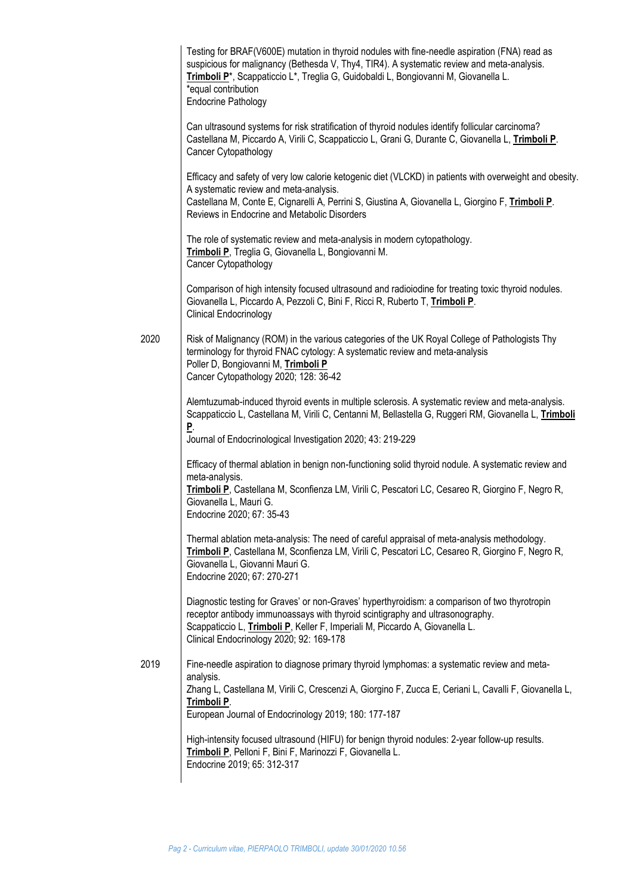|      | Testing for BRAF(V600E) mutation in thyroid nodules with fine-needle aspiration (FNA) read as<br>suspicious for malignancy (Bethesda V, Thy4, TIR4). A systematic review and meta-analysis.<br>Trimboli P <sup>*</sup> , Scappaticcio L <sup>*</sup> , Treglia G, Guidobaldi L, Bongiovanni M, Giovanella L.<br>*equal contribution<br><b>Endocrine Pathology</b> |
|------|-------------------------------------------------------------------------------------------------------------------------------------------------------------------------------------------------------------------------------------------------------------------------------------------------------------------------------------------------------------------|
|      | Can ultrasound systems for risk stratification of thyroid nodules identify follicular carcinoma?<br>Castellana M, Piccardo A, Virili C, Scappaticcio L, Grani G, Durante C, Giovanella L, Trimboli P.<br>Cancer Cytopathology                                                                                                                                     |
| 2020 | Efficacy and safety of very low calorie ketogenic diet (VLCKD) in patients with overweight and obesity.<br>A systematic review and meta-analysis.<br>Castellana M, Conte E, Cignarelli A, Perrini S, Giustina A, Giovanella L, Giorgino F, Trimboli P.<br>Reviews in Endocrine and Metabolic Disorders                                                            |
|      | The role of systematic review and meta-analysis in modern cytopathology.<br>Trimboli P, Treglia G, Giovanella L, Bongiovanni M.<br>Cancer Cytopathology                                                                                                                                                                                                           |
|      | Comparison of high intensity focused ultrasound and radioiodine for treating toxic thyroid nodules.<br>Giovanella L, Piccardo A, Pezzoli C, Bini F, Ricci R, Ruberto T, Trimboli P.<br><b>Clinical Endocrinology</b>                                                                                                                                              |
|      | Risk of Malignancy (ROM) in the various categories of the UK Royal College of Pathologists Thy<br>terminology for thyroid FNAC cytology: A systematic review and meta-analysis<br>Poller D, Bongiovanni M, Trimboli P<br>Cancer Cytopathology 2020; 128: 36-42                                                                                                    |
|      | Alemtuzumab-induced thyroid events in multiple sclerosis. A systematic review and meta-analysis.<br>Scappaticcio L, Castellana M, Virili C, Centanni M, Bellastella G, Ruggeri RM, Giovanella L, Trimboli<br>$\underline{P}$ .<br>Journal of Endocrinological Investigation 2020; 43: 219-229                                                                     |
|      | Efficacy of thermal ablation in benign non-functioning solid thyroid nodule. A systematic review and<br>meta-analysis.<br>Trimboli P, Castellana M, Sconfienza LM, Virili C, Pescatori LC, Cesareo R, Giorgino F, Negro R,<br>Giovanella L, Mauri G.<br>Endocrine 2020; 67: 35-43                                                                                 |
|      | Thermal ablation meta-analysis: The need of careful appraisal of meta-analysis methodology.<br>Trimboli P, Castellana M, Sconfienza LM, Virili C, Pescatori LC, Cesareo R, Giorgino F, Negro R,<br>Giovanella L, Giovanni Mauri G.<br>Endocrine 2020; 67: 270-271                                                                                                 |
|      | Diagnostic testing for Graves' or non-Graves' hyperthyroidism: a comparison of two thyrotropin<br>receptor antibody immunoassays with thyroid scintigraphy and ultrasonography.<br>Scappaticcio L, Trimboli P, Keller F, Imperiali M, Piccardo A, Giovanella L.<br>Clinical Endocrinology 2020; 92: 169-178                                                       |
| 2019 | Fine-needle aspiration to diagnose primary thyroid lymphomas: a systematic review and meta-<br>analysis.<br>Zhang L, Castellana M, Virili C, Crescenzi A, Giorgino F, Zucca E, Ceriani L, Cavalli F, Giovanella L,<br>Trimboli P.<br>European Journal of Endocrinology 2019; 180: 177-187                                                                         |
|      | High-intensity focused ultrasound (HIFU) for benign thyroid nodules: 2-year follow-up results.<br>Trimboli P, Pelloni F, Bini F, Marinozzi F, Giovanella L.<br>Endocrine 2019; 65: 312-317                                                                                                                                                                        |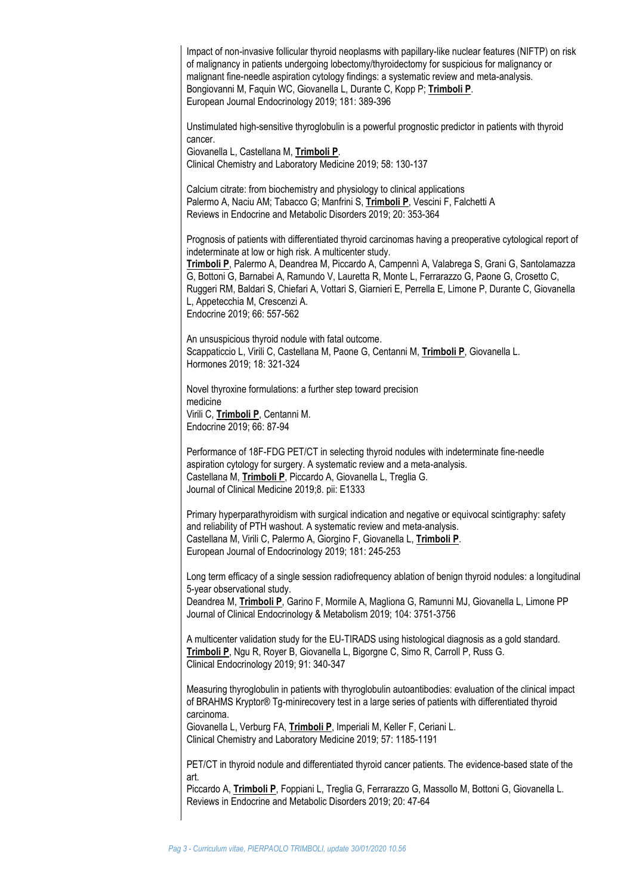Impact of non-invasive follicular thyroid neoplasms with papillary-like nuclear features (NIFTP) on risk of malignancy in patients undergoing lobectomy/thyroidectomy for suspicious for malignancy or malignant fine-needle aspiration cytology findings: a systematic review and meta-analysis. Bongiovanni M, Faquin WC, Giovanella L, Durante C, Kopp P; **Trimboli P**. European Journal Endocrinology 2019; 181: 389-396

Unstimulated high-sensitive thyroglobulin is a powerful prognostic predictor in patients with thyroid cancer.

Giovanella L, Castellana M, **Trimboli P**.

Clinical Chemistry and Laboratory Medicine 2019; 58: 130-137

Calcium citrate: from biochemistry and physiology to clinical applications Palermo A, Naciu AM; Tabacco G; Manfrini S, **Trimboli P**, Vescini F, Falchetti A Reviews in Endocrine and Metabolic Disorders 2019; 20: 353-364

Prognosis of patients with differentiated thyroid carcinomas having a preoperative cytological report of indeterminate at low or high risk. A multicenter study.

**Trimboli P**, Palermo A, Deandrea M, Piccardo A, Campennì A, Valabrega S, Grani G, Santolamazza G, Bottoni G, Barnabei A, Ramundo V, Lauretta R, Monte L, Ferrarazzo G, Paone G, Crosetto C, Ruggeri RM, Baldari S, Chiefari A, Vottari S, Giarnieri E, Perrella E, Limone P, Durante C, Giovanella L, Appetecchia M, Crescenzi A. Endocrine 2019; 66: 557-562

An unsuspicious thyroid nodule with fatal outcome. Scappaticcio L, Virili C, Castellana M, Paone G, Centanni M, **Trimboli P**, Giovanella L. Hormones 2019; 18: 321-324

Novel thyroxine formulations: a further step toward precision medicine Virili C, **Trimboli P**, Centanni M. Endocrine 2019; 66: 87-94

Performance of 18F-FDG PET/CT in selecting thyroid nodules with indeterminate fine-needle aspiration cytology for surgery. A systematic review and a meta-analysis. Castellana M, **Trimboli P**, Piccardo A, Giovanella L, Treglia G. Journal of Clinical Medicine 2019;8. pii: E1333

Primary hyperparathyroidism with surgical indication and negative or equivocal scintigraphy: safety and reliability of PTH washout. A systematic review and meta-analysis. Castellana M, Virili C, Palermo A, Giorgino F, Giovanella L, **Trimboli P**. European Journal of Endocrinology 2019; 181: 245-253

Long term efficacy of a single session radiofrequency ablation of benign thyroid nodules: a longitudinal 5-year observational study.

Deandrea M, **Trimboli P**, Garino F, Mormile A, Magliona G, Ramunni MJ, Giovanella L, Limone PP Journal of Clinical Endocrinology & Metabolism 2019; 104: 3751-3756

A multicenter validation study for the EU-TIRADS using histological diagnosis as a gold standard. **Trimboli P**, Ngu R, Royer B, Giovanella L, Bigorgne C, Simo R, Carroll P, Russ G. Clinical Endocrinology 2019; 91: 340-347

Measuring thyroglobulin in patients with thyroglobulin autoantibodies: evaluation of the clinical impact of BRAHMS Kryptor® Tg-minirecovery test in a large series of patients with differentiated thyroid carcinoma.

Giovanella L, Verburg FA, **Trimboli P**, Imperiali M, Keller F, Ceriani L. Clinical Chemistry and Laboratory Medicine 2019; 57: 1185-1191

PET/CT in thyroid nodule and differentiated thyroid cancer patients. The evidence-based state of the art.

Piccardo A, **Trimboli P**, Foppiani L, Treglia G, Ferrarazzo G, Massollo M, Bottoni G, Giovanella L. Reviews in Endocrine and Metabolic Disorders 2019; 20: 47-64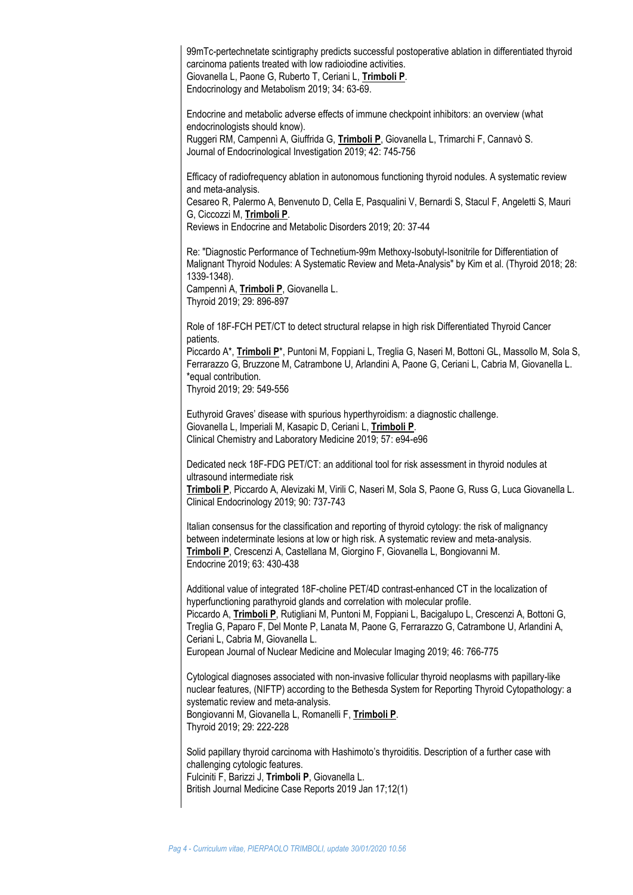99mTc-pertechnetate scintigraphy predicts successful postoperative ablation in differentiated thyroid carcinoma patients treated with low radioiodine activities. Giovanella L, Paone G, Ruberto T, Ceriani L, **Trimboli P**. Endocrinology and Metabolism 2019; 34: 63-69.

Endocrine and metabolic adverse effects of immune checkpoint inhibitors: an overview (what endocrinologists should know). Ruggeri RM, Campennì A, Giuffrida G, **Trimboli P**, Giovanella L, Trimarchi F, Cannavò S. Journal of Endocrinological Investigation 2019; 42: 745-756

Efficacy of radiofrequency ablation in autonomous functioning thyroid nodules. A systematic review and meta-analysis.

Cesareo R, Palermo A, Benvenuto D, Cella E, Pasqualini V, Bernardi S, Stacul F, Angeletti S, Mauri G, Ciccozzi M, **Trimboli P**.

Reviews in Endocrine and Metabolic Disorders 2019; 20: 37-44

Re: "Diagnostic Performance of Technetium-99m Methoxy-Isobutyl-Isonitrile for Differentiation of Malignant Thyroid Nodules: A Systematic Review and Meta-Analysis" by Kim et al. (Thyroid 2018; 28: 1339-1348).

Campennì A, **Trimboli P**, Giovanella L. Thyroid 2019; 29: 896-897

Role of 18F-FCH PET/CT to detect structural relapse in high risk Differentiated Thyroid Cancer patients.

Piccardo A\*, **Trimboli P**\*, Puntoni M, Foppiani L, Treglia G, Naseri M, Bottoni GL, Massollo M, Sola S, Ferrarazzo G, Bruzzone M, Catrambone U, Arlandini A, Paone G, Ceriani L, Cabria M, Giovanella L. \*equal contribution.

Thyroid 2019; 29: 549-556

Euthyroid Graves' disease with spurious hyperthyroidism: a diagnostic challenge. Giovanella L, Imperiali M, Kasapic D, Ceriani L, **Trimboli P**. Clinical Chemistry and Laboratory Medicine 2019; 57: e94-e96

Dedicated neck 18F-FDG PET/CT: an additional tool for risk assessment in thyroid nodules at ultrasound intermediate risk

**Trimboli P**, Piccardo A, Alevizaki M, Virili C, Naseri M, Sola S, Paone G, Russ G, Luca Giovanella L. Clinical Endocrinology 2019; 90: 737-743

Italian consensus for the classification and reporting of thyroid cytology: the risk of malignancy between indeterminate lesions at low or high risk. A systematic review and meta-analysis. **Trimboli P**, Crescenzi A, Castellana M, Giorgino F, Giovanella L, Bongiovanni M. Endocrine 2019; 63: 430-438

Additional value of integrated 18F-choline PET/4D contrast-enhanced CT in the localization of hyperfunctioning parathyroid glands and correlation with molecular profile. Piccardo A, **Trimboli P**, Rutigliani M, Puntoni M, Foppiani L, Bacigalupo L, Crescenzi A, Bottoni G, Treglia G, Paparo F, Del Monte P, Lanata M, Paone G, Ferrarazzo G, Catrambone U, Arlandini A, Ceriani L, Cabria M, Giovanella L.

European Journal of Nuclear Medicine and Molecular Imaging 2019; 46: 766-775

Cytological diagnoses associated with non-invasive follicular thyroid neoplasms with papillary-like nuclear features, (NIFTP) according to the Bethesda System for Reporting Thyroid Cytopathology: a systematic review and meta-analysis. Bongiovanni M, Giovanella L, Romanelli F, **Trimboli P**.

Thyroid 2019; 29: 222-228

Solid papillary thyroid carcinoma with Hashimoto's thyroiditis. Description of a further case with challenging cytologic features. Fulciniti F, Barizzi J, **Trimboli P**, Giovanella L. British Journal Medicine Case Reports 2019 Jan 17;12(1)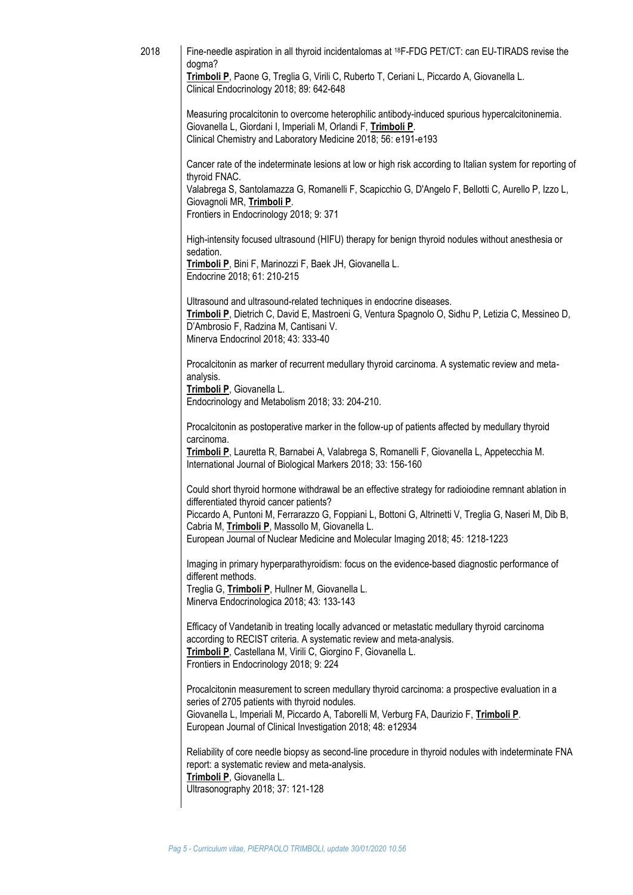| 2018 | Fine-needle aspiration in all thyroid incidentalomas at <sup>18</sup> F-FDG PET/CT: can EU-TIRADS revise the<br>dogma?<br>Trimboli P, Paone G, Treglia G, Virili C, Ruberto T, Ceriani L, Piccardo A, Giovanella L.                                                                                       |
|------|-----------------------------------------------------------------------------------------------------------------------------------------------------------------------------------------------------------------------------------------------------------------------------------------------------------|
|      | Clinical Endocrinology 2018; 89: 642-648                                                                                                                                                                                                                                                                  |
|      | Measuring procalcitonin to overcome heterophilic antibody-induced spurious hypercalcitoninemia.<br>Giovanella L, Giordani I, Imperiali M, Orlandi F, Trimboli P.<br>Clinical Chemistry and Laboratory Medicine 2018; 56: e191-e193                                                                        |
|      | Cancer rate of the indeterminate lesions at low or high risk according to Italian system for reporting of<br>thyroid FNAC.                                                                                                                                                                                |
|      | Valabrega S, Santolamazza G, Romanelli F, Scapicchio G, D'Angelo F, Bellotti C, Aurello P, Izzo L,<br>Giovagnoli MR, Trimboli P.<br>Frontiers in Endocrinology 2018; 9: 371                                                                                                                               |
|      | High-intensity focused ultrasound (HIFU) therapy for benign thyroid nodules without anesthesia or<br>sedation.<br>Trimboli P, Bini F, Marinozzi F, Baek JH, Giovanella L.<br>Endocrine 2018; 61: 210-215                                                                                                  |
|      | Ultrasound and ultrasound-related techniques in endocrine diseases.<br>Trimboli P, Dietrich C, David E, Mastroeni G, Ventura Spagnolo O, Sidhu P, Letizia C, Messineo D,<br>D'Ambrosio F, Radzina M, Cantisani V.<br>Minerva Endocrinol 2018; 43: 333-40                                                  |
|      | Procalcitonin as marker of recurrent medullary thyroid carcinoma. A systematic review and meta-<br>analysis.<br>Trimboli P, Giovanella L.                                                                                                                                                                 |
|      | Endocrinology and Metabolism 2018; 33: 204-210.                                                                                                                                                                                                                                                           |
|      | Procalcitonin as postoperative marker in the follow-up of patients affected by medullary thyroid<br>carcinoma.                                                                                                                                                                                            |
|      | Trimboli P, Lauretta R, Barnabei A, Valabrega S, Romanelli F, Giovanella L, Appetecchia M.<br>International Journal of Biological Markers 2018; 33: 156-160                                                                                                                                               |
|      | Could short thyroid hormone withdrawal be an effective strategy for radioiodine remnant ablation in<br>differentiated thyroid cancer patients?                                                                                                                                                            |
|      | Piccardo A, Puntoni M, Ferrarazzo G, Foppiani L, Bottoni G, Altrinetti V, Treglia G, Naseri M, Dib B,<br>Cabria M, Trimboli P, Massollo M, Giovanella L.<br>European Journal of Nuclear Medicine and Molecular Imaging 2018; 45: 1218-1223                                                                |
|      | Imaging in primary hyperparathyroidism: focus on the evidence-based diagnostic performance of                                                                                                                                                                                                             |
|      | different methods.<br>Treglia G, Trimboli P, Hullner M, Giovanella L.<br>Minerva Endocrinologica 2018; 43: 133-143                                                                                                                                                                                        |
|      | Efficacy of Vandetanib in treating locally advanced or metastatic medullary thyroid carcinoma<br>according to RECIST criteria. A systematic review and meta-analysis.<br>Trimboli P, Castellana M, Virili C, Giorgino F, Giovanella L.<br>Frontiers in Endocrinology 2018; 9: 224                         |
|      | Procalcitonin measurement to screen medullary thyroid carcinoma: a prospective evaluation in a<br>series of 2705 patients with thyroid nodules.<br>Giovanella L, Imperiali M, Piccardo A, Taborelli M, Verburg FA, Daurizio F, Trimboli P.<br>European Journal of Clinical Investigation 2018; 48: e12934 |
|      | Reliability of core needle biopsy as second-line procedure in thyroid nodules with indeterminate FNA<br>report: a systematic review and meta-analysis.<br>Trimboli P, Giovanella L.<br>Ultrasonography 2018; 37: 121-128                                                                                  |
|      |                                                                                                                                                                                                                                                                                                           |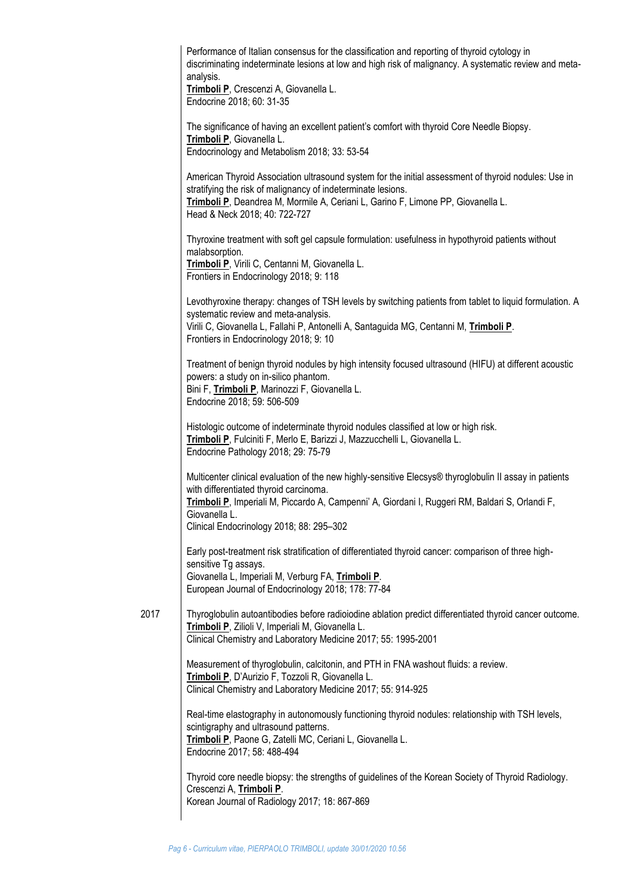|      | Performance of Italian consensus for the classification and reporting of thyroid cytology in<br>discriminating indeterminate lesions at low and high risk of malignancy. A systematic review and meta-<br>analysis.<br>Trimboli P, Crescenzi A, Giovanella L.<br>Endocrine 2018; 60: 31-35                        |
|------|-------------------------------------------------------------------------------------------------------------------------------------------------------------------------------------------------------------------------------------------------------------------------------------------------------------------|
|      | The significance of having an excellent patient's comfort with thyroid Core Needle Biopsy.<br>Trimboli P, Giovanella L.<br>Endocrinology and Metabolism 2018; 33: 53-54                                                                                                                                           |
|      | American Thyroid Association ultrasound system for the initial assessment of thyroid nodules: Use in<br>stratifying the risk of malignancy of indeterminate lesions.<br>Trimboli P, Deandrea M, Mormile A, Ceriani L, Garino F, Limone PP, Giovanella L.<br>Head & Neck 2018; 40: 722-727                         |
|      | Thyroxine treatment with soft gel capsule formulation: usefulness in hypothyroid patients without<br>malabsorption.<br>Trimboli P, Virili C, Centanni M, Giovanella L.<br>Frontiers in Endocrinology 2018; 9: 118                                                                                                 |
|      | Levothyroxine therapy: changes of TSH levels by switching patients from tablet to liquid formulation. A<br>systematic review and meta-analysis.<br>Virili C, Giovanella L, Fallahi P, Antonelli A, Santaguida MG, Centanni M, Trimboli P.<br>Frontiers in Endocrinology 2018; 9: 10                               |
|      | Treatment of benign thyroid nodules by high intensity focused ultrasound (HIFU) at different acoustic<br>powers: a study on in-silico phantom.<br>Bini F, Trimboli P, Marinozzi F, Giovanella L.<br>Endocrine 2018; 59: 506-509                                                                                   |
|      | Histologic outcome of indeterminate thyroid nodules classified at low or high risk.<br>Trimboli P, Fulciniti F, Merlo E, Barizzi J, Mazzucchelli L, Giovanella L.<br>Endocrine Pathology 2018; 29: 75-79                                                                                                          |
|      | Multicenter clinical evaluation of the new highly-sensitive Elecsys® thyroglobulin II assay in patients<br>with differentiated thyroid carcinoma.<br>Trimboli P, Imperiali M, Piccardo A, Campenni' A, Giordani I, Ruggeri RM, Baldari S, Orlandi F,<br>Giovanella L.<br>Clinical Endocrinology 2018; 88: 295-302 |
|      | Early post-treatment risk stratification of differentiated thyroid cancer: comparison of three high-<br>sensitive Tg assays.<br>Giovanella L, Imperiali M, Verburg FA, Trimboli P.<br>European Journal of Endocrinology 2018; 178: 77-84                                                                          |
| 2017 | Thyroglobulin autoantibodies before radioiodine ablation predict differentiated thyroid cancer outcome.<br>Trimboli P, Zilioli V, Imperiali M, Giovanella L.<br>Clinical Chemistry and Laboratory Medicine 2017; 55: 1995-2001                                                                                    |
|      | Measurement of thyroglobulin, calcitonin, and PTH in FNA washout fluids: a review.<br>Trimboli P, D'Aurizio F, Tozzoli R, Giovanella L.<br>Clinical Chemistry and Laboratory Medicine 2017; 55: 914-925                                                                                                           |
|      | Real-time elastography in autonomously functioning thyroid nodules: relationship with TSH levels,<br>scintigraphy and ultrasound patterns.<br>Trimboli P, Paone G, Zatelli MC, Ceriani L, Giovanella L.<br>Endocrine 2017; 58: 488-494                                                                            |
|      | Thyroid core needle biopsy: the strengths of guidelines of the Korean Society of Thyroid Radiology.<br>Crescenzi A, Trimboli P.<br>Korean Journal of Radiology 2017; 18: 867-869                                                                                                                                  |
|      |                                                                                                                                                                                                                                                                                                                   |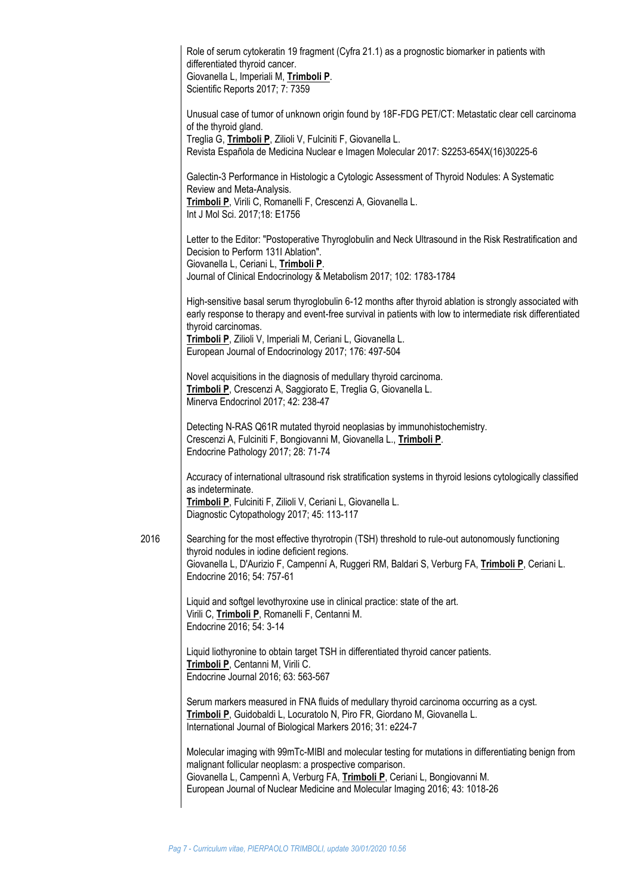|      | Role of serum cytokeratin 19 fragment (Cyfra 21.1) as a prognostic biomarker in patients with<br>differentiated thyroid cancer.<br>Giovanella L, Imperiali M, Trimboli P.<br>Scientific Reports 2017; 7: 7359                                                                                                                   |
|------|---------------------------------------------------------------------------------------------------------------------------------------------------------------------------------------------------------------------------------------------------------------------------------------------------------------------------------|
|      | Unusual case of tumor of unknown origin found by 18F-FDG PET/CT: Metastatic clear cell carcinoma<br>of the thyroid gland.<br>Treglia G, Trimboli P, Zilioli V, Fulciniti F, Giovanella L.<br>Revista Española de Medicina Nuclear e Imagen Molecular 2017: S2253-654X(16)30225-6                                                |
|      | Galectin-3 Performance in Histologic a Cytologic Assessment of Thyroid Nodules: A Systematic<br>Review and Meta-Analysis.<br>Trimboli P, Virili C, Romanelli F, Crescenzi A, Giovanella L.<br>Int J Mol Sci. 2017;18: E1756                                                                                                     |
|      | Letter to the Editor: "Postoperative Thyroglobulin and Neck Ultrasound in the Risk Restratification and<br>Decision to Perform 131I Ablation".<br>Giovanella L, Ceriani L, Trimboli P.<br>Journal of Clinical Endocrinology & Metabolism 2017; 102: 1783-1784                                                                   |
|      | High-sensitive basal serum thyroglobulin 6-12 months after thyroid ablation is strongly associated with<br>early response to therapy and event-free survival in patients with low to intermediate risk differentiated<br>thyroid carcinomas.<br>Trimboli P, Zilioli V, Imperiali M, Ceriani L, Giovanella L.                    |
|      | European Journal of Endocrinology 2017; 176: 497-504                                                                                                                                                                                                                                                                            |
|      | Novel acquisitions in the diagnosis of medullary thyroid carcinoma.<br>Trimboli P, Crescenzi A, Saggiorato E, Treglia G, Giovanella L.<br>Minerva Endocrinol 2017; 42: 238-47                                                                                                                                                   |
|      | Detecting N-RAS Q61R mutated thyroid neoplasias by immunohistochemistry.<br>Crescenzi A, Fulciniti F, Bongiovanni M, Giovanella L., Trimboli P.<br>Endocrine Pathology 2017; 28: 71-74                                                                                                                                          |
|      | Accuracy of international ultrasound risk stratification systems in thyroid lesions cytologically classified<br>as indeterminate.<br>Trimboli P, Fulciniti F, Zilioli V, Ceriani L, Giovanella L.<br>Diagnostic Cytopathology 2017; 45: 113-117                                                                                 |
| 2016 | Searching for the most effective thyrotropin (TSH) threshold to rule-out autonomously functioning                                                                                                                                                                                                                               |
|      | thyroid nodules in iodine deficient regions.<br>Giovanella L, D'Aurizio F, Campenní A, Ruggeri RM, Baldari S, Verburg FA, Trimboli P, Ceriani L.<br>Endocrine 2016; 54: 757-61                                                                                                                                                  |
|      | Liquid and softgel levothyroxine use in clinical practice: state of the art.<br>Virili C, Trimboli P, Romanelli F, Centanni M.<br>Endocrine 2016; 54: 3-14                                                                                                                                                                      |
|      | Liquid liothyronine to obtain target TSH in differentiated thyroid cancer patients.<br>Trimboli P, Centanni M, Virili C.<br>Endocrine Journal 2016; 63: 563-567                                                                                                                                                                 |
|      | Serum markers measured in FNA fluids of medullary thyroid carcinoma occurring as a cyst.<br>Trimboli P, Guidobaldi L, Locuratolo N, Piro FR, Giordano M, Giovanella L.<br>International Journal of Biological Markers 2016; 31: e224-7                                                                                          |
|      | Molecular imaging with 99mTc-MIBI and molecular testing for mutations in differentiating benign from<br>malignant follicular neoplasm: a prospective comparison.<br>Giovanella L, Campennì A, Verburg FA, Trimboli P, Ceriani L, Bongiovanni M.<br>European Journal of Nuclear Medicine and Molecular Imaging 2016; 43: 1018-26 |
|      |                                                                                                                                                                                                                                                                                                                                 |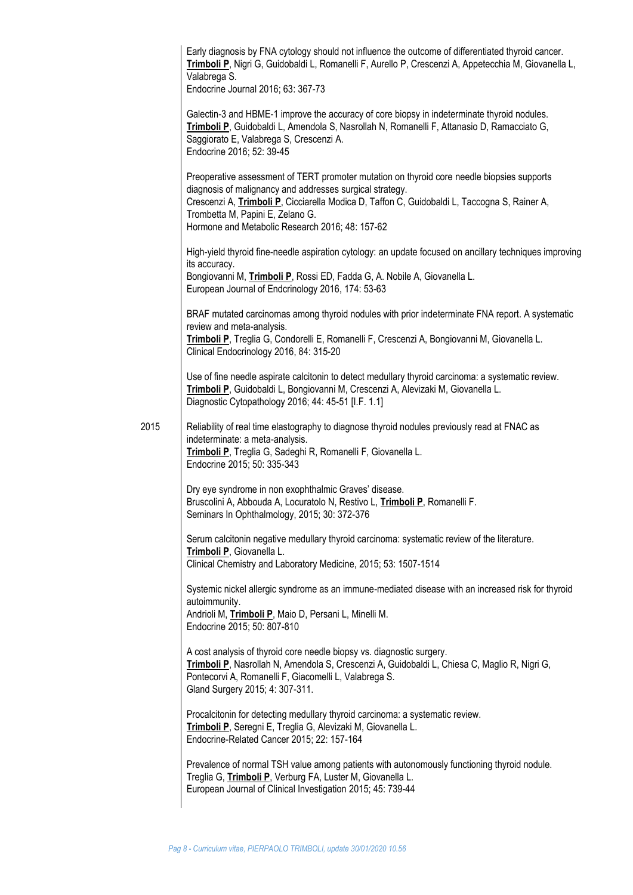|      | Early diagnosis by FNA cytology should not influence the outcome of differentiated thyroid cancer.<br>Trimboli P, Nigri G, Guidobaldi L, Romanelli F, Aurello P, Crescenzi A, Appetecchia M, Giovanella L,<br>Valabrega S.<br>Endocrine Journal 2016; 63: 367-73                                                                              |
|------|-----------------------------------------------------------------------------------------------------------------------------------------------------------------------------------------------------------------------------------------------------------------------------------------------------------------------------------------------|
|      | Galectin-3 and HBME-1 improve the accuracy of core biopsy in indeterminate thyroid nodules.<br>Trimboli P, Guidobaldi L, Amendola S, Nasrollah N, Romanelli F, Attanasio D, Ramacciato G,<br>Saggiorato E, Valabrega S, Crescenzi A.<br>Endocrine 2016; 52: 39-45                                                                             |
|      | Preoperative assessment of TERT promoter mutation on thyroid core needle biopsies supports<br>diagnosis of malignancy and addresses surgical strategy.<br>Crescenzi A, Trimboli P, Cicciarella Modica D, Taffon C, Guidobaldi L, Taccogna S, Rainer A,<br>Trombetta M, Papini E, Zelano G.<br>Hormone and Metabolic Research 2016; 48: 157-62 |
|      | High-yield thyroid fine-needle aspiration cytology: an update focused on ancillary techniques improving<br>its accuracy.                                                                                                                                                                                                                      |
|      | Bongiovanni M, Trimboli P, Rossi ED, Fadda G, A. Nobile A, Giovanella L.<br>European Journal of Endcrinology 2016, 174: 53-63                                                                                                                                                                                                                 |
|      | BRAF mutated carcinomas among thyroid nodules with prior indeterminate FNA report. A systematic<br>review and meta-analysis.                                                                                                                                                                                                                  |
|      | Trimboli P, Treglia G, Condorelli E, Romanelli F, Crescenzi A, Bongiovanni M, Giovanella L.<br>Clinical Endocrinology 2016, 84: 315-20                                                                                                                                                                                                        |
|      | Use of fine needle aspirate calcitonin to detect medullary thyroid carcinoma: a systematic review.<br>Trimboli P, Guidobaldi L, Bongiovanni M, Crescenzi A, Alevizaki M, Giovanella L.<br>Diagnostic Cytopathology 2016; 44: 45-51 [I.F. 1.1]                                                                                                 |
| 2015 | Reliability of real time elastography to diagnose thyroid nodules previously read at FNAC as<br>indeterminate: a meta-analysis.<br>Trimboli P, Treglia G, Sadeghi R, Romanelli F, Giovanella L.<br>Endocrine 2015; 50: 335-343                                                                                                                |
|      | Dry eye syndrome in non exophthalmic Graves' disease.<br>Bruscolini A, Abbouda A, Locuratolo N, Restivo L, Trimboli P, Romanelli F.<br>Seminars In Ophthalmology, 2015; 30: 372-376                                                                                                                                                           |
|      | Serum calcitonin negative medullary thyroid carcinoma: systematic review of the literature.<br>Trimboli P, Giovanella L.                                                                                                                                                                                                                      |
|      | Clinical Chemistry and Laboratory Medicine, 2015; 53: 1507-1514                                                                                                                                                                                                                                                                               |
|      | Systemic nickel allergic syndrome as an immune-mediated disease with an increased risk for thyroid<br>autoimmunity.<br>Andrioli M, Trimboli P, Maio D, Persani L, Minelli M.<br>Endocrine 2015; 50: 807-810                                                                                                                                   |
|      | A cost analysis of thyroid core needle biopsy vs. diagnostic surgery.<br>Trimboli P, Nasrollah N, Amendola S, Crescenzi A, Guidobaldi L, Chiesa C, Maglio R, Nigri G,<br>Pontecorvi A, Romanelli F, Giacomelli L, Valabrega S.<br>Gland Surgery 2015; 4: 307-311.                                                                             |
|      | Procalcitonin for detecting medullary thyroid carcinoma: a systematic review.<br>Trimboli P, Seregni E, Treglia G, Alevizaki M, Giovanella L.<br>Endocrine-Related Cancer 2015; 22: 157-164                                                                                                                                                   |
|      | Prevalence of normal TSH value among patients with autonomously functioning thyroid nodule.<br>Treglia G, Trimboli P, Verburg FA, Luster M, Giovanella L.<br>European Journal of Clinical Investigation 2015; 45: 739-44                                                                                                                      |
|      |                                                                                                                                                                                                                                                                                                                                               |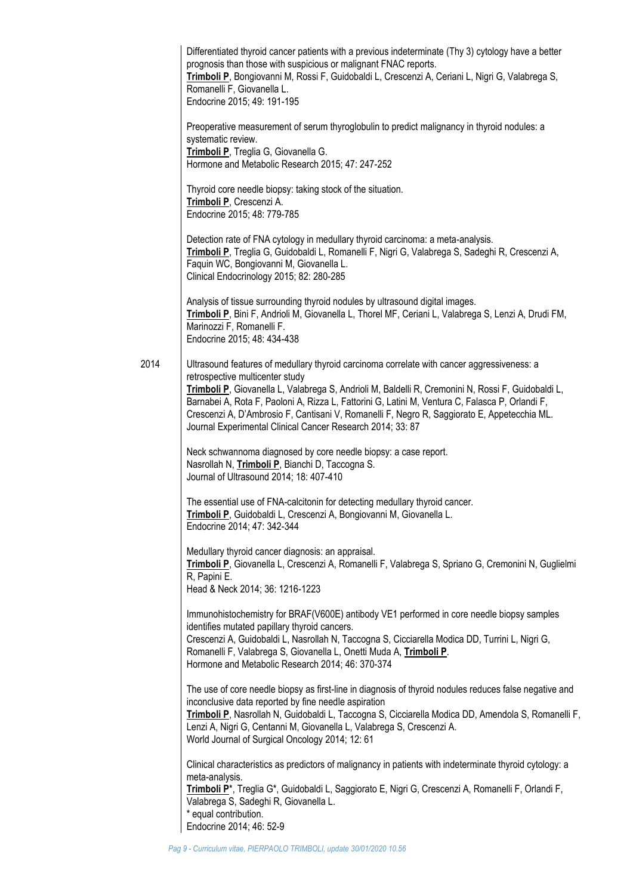|      | Differentiated thyroid cancer patients with a previous indeterminate (Thy 3) cytology have a better<br>prognosis than those with suspicious or malignant FNAC reports.<br>Trimboli P, Bongiovanni M, Rossi F, Guidobaldi L, Crescenzi A, Ceriani L, Nigri G, Valabrega S,<br>Romanelli F, Giovanella L.<br>Endocrine 2015; 49: 191-195                                                                                                                                                              |
|------|-----------------------------------------------------------------------------------------------------------------------------------------------------------------------------------------------------------------------------------------------------------------------------------------------------------------------------------------------------------------------------------------------------------------------------------------------------------------------------------------------------|
|      | Preoperative measurement of serum thyroglobulin to predict malignancy in thyroid nodules: a<br>systematic review.<br>Trimboli P, Treglia G, Giovanella G.<br>Hormone and Metabolic Research 2015; 47: 247-252                                                                                                                                                                                                                                                                                       |
|      | Thyroid core needle biopsy: taking stock of the situation.<br>Trimboli P, Crescenzi A.<br>Endocrine 2015; 48: 779-785                                                                                                                                                                                                                                                                                                                                                                               |
|      | Detection rate of FNA cytology in medullary thyroid carcinoma: a meta-analysis.<br>Trimboli P, Treglia G, Guidobaldi L, Romanelli F, Nigri G, Valabrega S, Sadeghi R, Crescenzi A,<br>Faquin WC, Bongiovanni M, Giovanella L.<br>Clinical Endocrinology 2015; 82: 280-285                                                                                                                                                                                                                           |
|      | Analysis of tissue surrounding thyroid nodules by ultrasound digital images.<br>Trimboli P, Bini F, Andrioli M, Giovanella L, Thorel MF, Ceriani L, Valabrega S, Lenzi A, Drudi FM,<br>Marinozzi F, Romanelli F.<br>Endocrine 2015; 48: 434-438                                                                                                                                                                                                                                                     |
| 2014 | Ultrasound features of medullary thyroid carcinoma correlate with cancer aggressiveness: a<br>retrospective multicenter study<br>Trimboli P, Giovanella L, Valabrega S, Andrioli M, Baldelli R, Cremonini N, Rossi F, Guidobaldi L,<br>Barnabei A, Rota F, Paoloni A, Rizza L, Fattorini G, Latini M, Ventura C, Falasca P, Orlandi F,<br>Crescenzi A, D'Ambrosio F, Cantisani V, Romanelli F, Negro R, Saggiorato E, Appetecchia ML.<br>Journal Experimental Clinical Cancer Research 2014; 33: 87 |
|      | Neck schwannoma diagnosed by core needle biopsy: a case report.<br>Nasrollah N, Trimboli P, Bianchi D, Taccogna S.<br>Journal of Ultrasound 2014; 18: 407-410                                                                                                                                                                                                                                                                                                                                       |
|      | The essential use of FNA-calcitonin for detecting medullary thyroid cancer.<br>Trimboli P, Guidobaldi L, Crescenzi A, Bongiovanni M, Giovanella L.<br>Endocrine 2014; 47: 342-344                                                                                                                                                                                                                                                                                                                   |
|      | Medullary thyroid cancer diagnosis: an appraisal.<br>Trimboli P, Giovanella L, Crescenzi A, Romanelli F, Valabrega S, Spriano G, Cremonini N, Guglielmi<br>R, Papini E.<br>Head & Neck 2014; 36: 1216-1223                                                                                                                                                                                                                                                                                          |
|      | Immunohistochemistry for BRAF(V600E) antibody VE1 performed in core needle biopsy samples<br>identifies mutated papillary thyroid cancers.<br>Crescenzi A, Guidobaldi L, Nasrollah N, Taccogna S, Cicciarella Modica DD, Turrini L, Nigri G,<br>Romanelli F, Valabrega S, Giovanella L, Onetti Muda A, Trimboli P.<br>Hormone and Metabolic Research 2014; 46: 370-374                                                                                                                              |
|      | The use of core needle biopsy as first-line in diagnosis of thyroid nodules reduces false negative and<br>inconclusive data reported by fine needle aspiration<br>Trimboli P, Nasrollah N, Guidobaldi L, Taccogna S, Cicciarella Modica DD, Amendola S, Romanelli F,<br>Lenzi A, Nigri G, Centanni M, Giovanella L, Valabrega S, Crescenzi A.<br>World Journal of Surgical Oncology 2014; 12: 61                                                                                                    |
|      | Clinical characteristics as predictors of malignancy in patients with indeterminate thyroid cytology: a<br>meta-analysis.<br>Trimboli P <sup>*</sup> , Treglia G <sup>*</sup> , Guidobaldi L, Saggiorato E, Nigri G, Crescenzi A, Romanelli F, Orlandi F,<br>Valabrega S, Sadeghi R, Giovanella L.<br>* equal contribution.<br>Endocrine 2014; 46: 52-9                                                                                                                                             |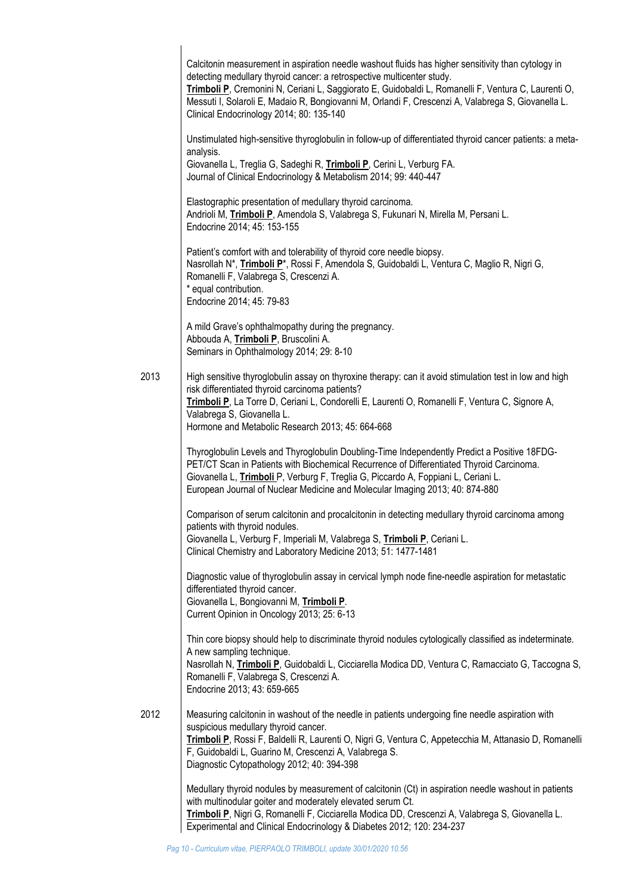|      | Calcitonin measurement in aspiration needle washout fluids has higher sensitivity than cytology in<br>detecting medullary thyroid cancer: a retrospective multicenter study.<br>Trimboli P, Cremonini N, Ceriani L, Saggiorato E, Guidobaldi L, Romanelli F, Ventura C, Laurenti O,<br>Messuti I, Solaroli E, Madaio R, Bongiovanni M, Orlandi F, Crescenzi A, Valabrega S, Giovanella L.<br>Clinical Endocrinology 2014; 80: 135-140 |
|------|---------------------------------------------------------------------------------------------------------------------------------------------------------------------------------------------------------------------------------------------------------------------------------------------------------------------------------------------------------------------------------------------------------------------------------------|
|      | Unstimulated high-sensitive thyroglobulin in follow-up of differentiated thyroid cancer patients: a meta-<br>analysis.<br>Giovanella L, Treglia G, Sadeghi R, Trimboli P, Cerini L, Verburg FA.<br>Journal of Clinical Endocrinology & Metabolism 2014; 99: 440-447                                                                                                                                                                   |
|      | Elastographic presentation of medullary thyroid carcinoma.<br>Andrioli M, Trimboli P, Amendola S, Valabrega S, Fukunari N, Mirella M, Persani L.<br>Endocrine 2014; 45: 153-155                                                                                                                                                                                                                                                       |
|      | Patient's comfort with and tolerability of thyroid core needle biopsy.<br>Nasrollah N*, Trimboli P*, Rossi F, Amendola S, Guidobaldi L, Ventura C, Maglio R, Nigri G,<br>Romanelli F, Valabrega S, Crescenzi A.<br>* equal contribution.<br>Endocrine 2014; 45: 79-83                                                                                                                                                                 |
|      | A mild Grave's ophthalmopathy during the pregnancy.<br>Abbouda A, Trimboli P, Bruscolini A.<br>Seminars in Ophthalmology 2014; 29: 8-10                                                                                                                                                                                                                                                                                               |
| 2013 | High sensitive thyroglobulin assay on thyroxine therapy: can it avoid stimulation test in low and high<br>risk differentiated thyroid carcinoma patients?<br>Trimboli P, La Torre D, Ceriani L, Condorelli E, Laurenti O, Romanelli F, Ventura C, Signore A,<br>Valabrega S, Giovanella L.<br>Hormone and Metabolic Research 2013; 45: 664-668                                                                                        |
|      | Thyroglobulin Levels and Thyroglobulin Doubling-Time Independently Predict a Positive 18FDG-<br>PET/CT Scan in Patients with Biochemical Recurrence of Differentiated Thyroid Carcinoma.<br>Giovanella L, Trimboli P, Verburg F, Treglia G, Piccardo A, Foppiani L, Ceriani L.<br>European Journal of Nuclear Medicine and Molecular Imaging 2013; 40: 874-880                                                                        |
|      | Comparison of serum calcitonin and procalcitonin in detecting medullary thyroid carcinoma among<br>patients with thyroid nodules.<br>Giovanella L, Verburg F, Imperiali M, Valabrega S, Trimboli P, Ceriani L.<br>Clinical Chemistry and Laboratory Medicine 2013; 51: 1477-1481                                                                                                                                                      |
|      | Diagnostic value of thyroglobulin assay in cervical lymph node fine-needle aspiration for metastatic<br>differentiated thyroid cancer.<br>Giovanella L, Bongiovanni M, Trimboli P.<br>Current Opinion in Oncology 2013; 25: 6-13                                                                                                                                                                                                      |
|      | Thin core biopsy should help to discriminate thyroid nodules cytologically classified as indeterminate.<br>A new sampling technique.<br>Nasrollah N, Trimboli P, Guidobaldi L, Cicciarella Modica DD, Ventura C, Ramacciato G, Taccogna S,<br>Romanelli F, Valabrega S, Crescenzi A.<br>Endocrine 2013; 43: 659-665                                                                                                                   |
| 2012 | Measuring calcitonin in washout of the needle in patients undergoing fine needle aspiration with<br>suspicious medullary thyroid cancer.<br>Trimboli P, Rossi F, Baldelli R, Laurenti O, Nigri G, Ventura C, Appetecchia M, Attanasio D, Romanelli<br>F, Guidobaldi L, Guarino M, Crescenzi A, Valabrega S.<br>Diagnostic Cytopathology 2012; 40: 394-398                                                                             |
|      | Medullary thyroid nodules by measurement of calcitonin (Ct) in aspiration needle washout in patients<br>with multinodular goiter and moderately elevated serum Ct.<br>Trimboli P, Nigri G, Romanelli F, Cicciarella Modica DD, Crescenzi A, Valabrega S, Giovanella L.<br>Experimental and Clinical Endocrinology & Diabetes 2012; 120: 234-237                                                                                       |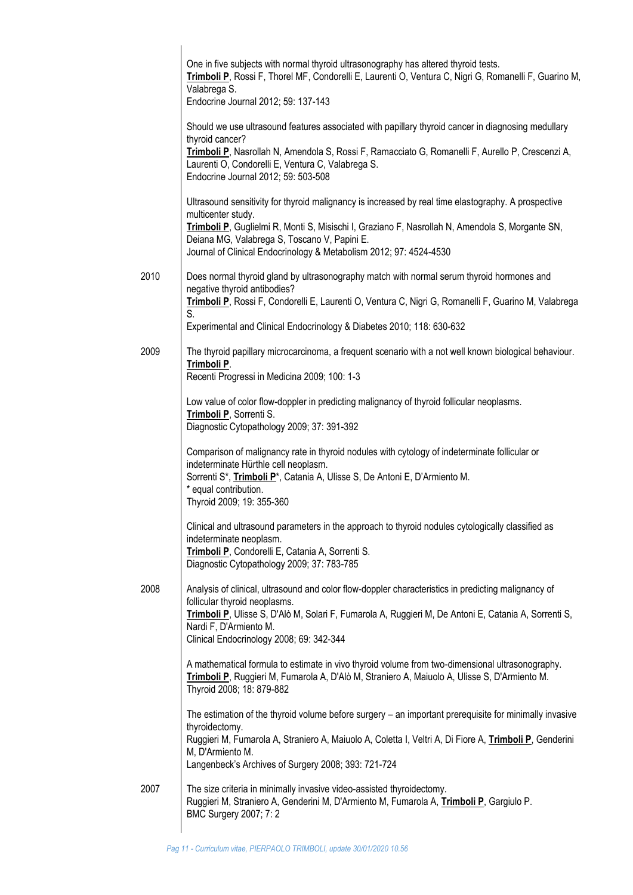|      | One in five subjects with normal thyroid ultrasonography has altered thyroid tests.<br>Trimboli P, Rossi F, Thorel MF, Condorelli E, Laurenti O, Ventura C, Nigri G, Romanelli F, Guarino M,<br>Valabrega S.<br>Endocrine Journal 2012; 59: 137-143                                                                                                |
|------|----------------------------------------------------------------------------------------------------------------------------------------------------------------------------------------------------------------------------------------------------------------------------------------------------------------------------------------------------|
|      | Should we use ultrasound features associated with papillary thyroid cancer in diagnosing medullary                                                                                                                                                                                                                                                 |
|      | thyroid cancer?<br>Trimboli P, Nasrollah N, Amendola S, Rossi F, Ramacciato G, Romanelli F, Aurello P, Crescenzi A,<br>Laurenti O, Condorelli E, Ventura C, Valabrega S.<br>Endocrine Journal 2012; 59: 503-508                                                                                                                                    |
|      | Ultrasound sensitivity for thyroid malignancy is increased by real time elastography. A prospective<br>multicenter study.<br>Trimboli P, Guglielmi R, Monti S, Misischi I, Graziano F, Nasrollah N, Amendola S, Morgante SN,<br>Deiana MG, Valabrega S, Toscano V, Papini E.<br>Journal of Clinical Endocrinology & Metabolism 2012; 97: 4524-4530 |
|      |                                                                                                                                                                                                                                                                                                                                                    |
| 2010 | Does normal thyroid gland by ultrasonography match with normal serum thyroid hormones and<br>negative thyroid antibodies?                                                                                                                                                                                                                          |
|      | Trimboli P, Rossi F, Condorelli E, Laurenti O, Ventura C, Nigri G, Romanelli F, Guarino M, Valabrega<br>S.                                                                                                                                                                                                                                         |
|      | Experimental and Clinical Endocrinology & Diabetes 2010; 118: 630-632                                                                                                                                                                                                                                                                              |
| 2009 | The thyroid papillary microcarcinoma, a frequent scenario with a not well known biological behaviour.<br>Trimboli P.<br>Recenti Progressi in Medicina 2009; 100: 1-3                                                                                                                                                                               |
|      | Low value of color flow-doppler in predicting malignancy of thyroid follicular neoplasms.<br>Trimboli P, Sorrenti S.<br>Diagnostic Cytopathology 2009; 37: 391-392                                                                                                                                                                                 |
|      | Comparison of malignancy rate in thyroid nodules with cytology of indeterminate follicular or<br>indeterminate Hürthle cell neoplasm.<br>Sorrenti S*, Trimboli P*, Catania A, Ulisse S, De Antoni E, D'Armiento M.<br>* equal contribution.<br>Thyroid 2009; 19: 355-360                                                                           |
|      | Clinical and ultrasound parameters in the approach to thyroid nodules cytologically classified as<br>indeterminate neoplasm.<br>Trimboli P, Condorelli E, Catania A, Sorrenti S.<br>Diagnostic Cytopathology 2009; 37: 783-785                                                                                                                     |
| 2008 | Analysis of clinical, ultrasound and color flow-doppler characteristics in predicting malignancy of                                                                                                                                                                                                                                                |
|      | follicular thyroid neoplasms.<br>Trimboli P, Ulisse S, D'Alò M, Solari F, Fumarola A, Ruggieri M, De Antoni E, Catania A, Sorrenti S,<br>Nardi F, D'Armiento M.<br>Clinical Endocrinology 2008; 69: 342-344                                                                                                                                        |
|      | A mathematical formula to estimate in vivo thyroid volume from two-dimensional ultrasonography.<br>Trimboli P, Ruggieri M, Fumarola A, D'Alò M, Straniero A, Maiuolo A, Ulisse S, D'Armiento M.<br>Thyroid 2008; 18: 879-882                                                                                                                       |
|      | The estimation of the thyroid volume before surgery - an important prerequisite for minimally invasive                                                                                                                                                                                                                                             |
|      | thyroidectomy.<br>Ruggieri M, Fumarola A, Straniero A, Maiuolo A, Coletta I, Veltri A, Di Fiore A, Trimboli P, Genderini<br>M, D'Armiento M.<br>Langenbeck's Archives of Surgery 2008; 393: 721-724                                                                                                                                                |
| 2007 | The size criteria in minimally invasive video-assisted thyroidectomy.<br>Ruggieri M, Straniero A, Genderini M, D'Armiento M, Fumarola A, Trimboli P, Gargiulo P.<br>BMC Surgery 2007; 7: 2                                                                                                                                                         |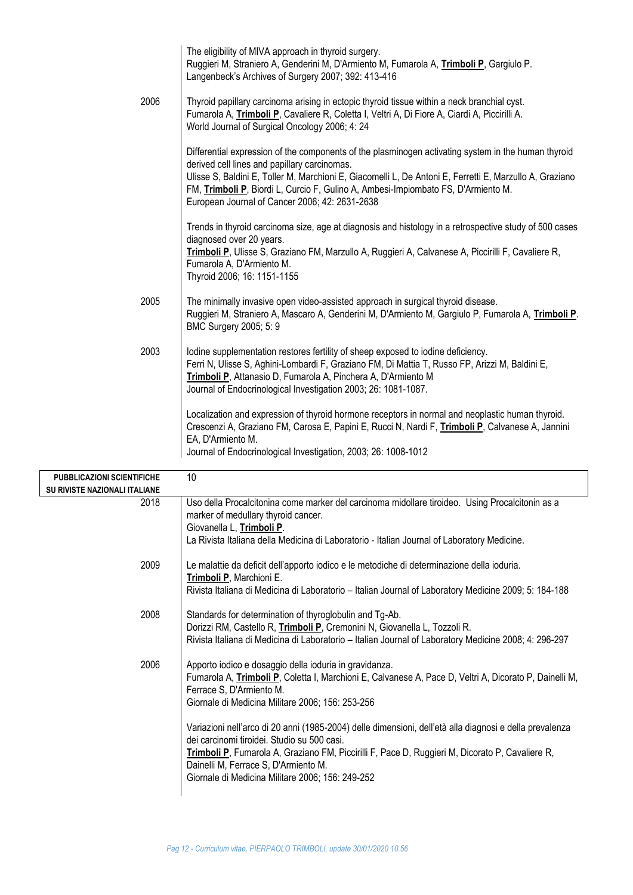|                           | The eligibility of MIVA approach in thyroid surgery.<br>Ruggieri M, Straniero A, Genderini M, D'Armiento M, Fumarola A, Trimboli P, Gargiulo P.<br>Langenbeck's Archives of Surgery 2007; 392: 413-416                                                                                                                                                                                                |
|---------------------------|-------------------------------------------------------------------------------------------------------------------------------------------------------------------------------------------------------------------------------------------------------------------------------------------------------------------------------------------------------------------------------------------------------|
| 2006                      | Thyroid papillary carcinoma arising in ectopic thyroid tissue within a neck branchial cyst.<br>Fumarola A, Trimboli P, Cavaliere R, Coletta I, Veltri A, Di Fiore A, Ciardi A, Piccirilli A.<br>World Journal of Surgical Oncology 2006; 4: 24                                                                                                                                                        |
|                           | Differential expression of the components of the plasminogen activating system in the human thyroid<br>derived cell lines and papillary carcinomas.<br>Ulisse S, Baldini E, Toller M, Marchioni E, Giacomelli L, De Antoni E, Ferretti E, Marzullo A, Graziano<br>FM, Trimboli P, Biordi L, Curcio F, Gulino A, Ambesi-Impiombato FS, D'Armiento M.<br>European Journal of Cancer 2006; 42: 2631-2638 |
|                           | Trends in thyroid carcinoma size, age at diagnosis and histology in a retrospective study of 500 cases                                                                                                                                                                                                                                                                                                |
|                           | diagnosed over 20 years.<br>Trimboli P, Ulisse S, Graziano FM, Marzullo A, Ruggieri A, Calvanese A, Piccirilli F, Cavaliere R,<br>Fumarola A, D'Armiento M.<br>Thyroid 2006; 16: 1151-1155                                                                                                                                                                                                            |
| 2005                      | The minimally invasive open video-assisted approach in surgical thyroid disease.<br>Ruggieri M, Straniero A, Mascaro A, Genderini M, D'Armiento M, Gargiulo P, Fumarola A, Trimboli P.<br>BMC Surgery 2005; 5: 9                                                                                                                                                                                      |
| 2003                      | lodine supplementation restores fertility of sheep exposed to iodine deficiency.<br>Ferri N, Ulisse S, Aghini-Lombardi F, Graziano FM, Di Mattia T, Russo FP, Arizzi M, Baldini E,<br>Trimboli P, Attanasio D, Fumarola A, Pinchera A, D'Armiento M<br>Journal of Endocrinological Investigation 2003; 26: 1081-1087.                                                                                 |
|                           | Localization and expression of thyroid hormone receptors in normal and neoplastic human thyroid.<br>Crescenzi A, Graziano FM, Carosa E, Papini E, Rucci N, Nardi F, Trimboli P, Calvanese A, Jannini<br>EA, D'Armiento M.<br>Journal of Endocrinological Investigation, 2003; 26: 1008-1012                                                                                                           |
| <b>ZIONI SCIENTIFICHE</b> | 10                                                                                                                                                                                                                                                                                                                                                                                                    |
| <b>JAZIONALI ITALIANE</b> |                                                                                                                                                                                                                                                                                                                                                                                                       |
| 2018                      | Uso della Procalcitonina come marker del carcinoma midollare tiroideo. Using Procalcitonin as a<br>marker of medullary thyroid cancer.<br>Giovanella L, Trimboli P.                                                                                                                                                                                                                                   |
|                           | La Rivista Italiana della Medicina di Laboratorio - Italian Journal of Laboratory Medicine.                                                                                                                                                                                                                                                                                                           |
| 2009                      | Le malattie da deficit dell'apporto iodico e le metodiche di determinazione della ioduria.<br><b>Trimhali D</b> Marchiani E                                                                                                                                                                                                                                                                           |

| <b>PUBBLICAZIONI SCIENTIFICHE</b>    | 10                                                                                                                                                                                                                                                                                                                                                                                                                                                                                                                                                                                                        |
|--------------------------------------|-----------------------------------------------------------------------------------------------------------------------------------------------------------------------------------------------------------------------------------------------------------------------------------------------------------------------------------------------------------------------------------------------------------------------------------------------------------------------------------------------------------------------------------------------------------------------------------------------------------|
| <b>SU RIVISTE NAZIONALI ITALIANE</b> |                                                                                                                                                                                                                                                                                                                                                                                                                                                                                                                                                                                                           |
| 2018                                 | Uso della Procalcitonina come marker del carcinoma midollare tiroideo. Using Procalcitonin as a<br>marker of medullary thyroid cancer.<br>Giovanella L, Trimboli P.<br>La Rivista Italiana della Medicina di Laboratorio - Italian Journal of Laboratory Medicine.                                                                                                                                                                                                                                                                                                                                        |
| 2009                                 | Le malattie da deficit dell'apporto iodico e le metodiche di determinazione della ioduria.<br>Trimboli P, Marchioni E.<br>Rivista Italiana di Medicina di Laboratorio - Italian Journal of Laboratory Medicine 2009; 5: 184-188                                                                                                                                                                                                                                                                                                                                                                           |
| 2008                                 | Standards for determination of thyroglobulin and Tg-Ab.<br>Dorizzi RM, Castello R, Trimboli P, Cremonini N, Giovanella L, Tozzoli R.<br>Rivista Italiana di Medicina di Laboratorio - Italian Journal of Laboratory Medicine 2008; 4: 296-297                                                                                                                                                                                                                                                                                                                                                             |
| 2006                                 | Apporto iodico e dosaggio della ioduria in gravidanza.<br>Fumarola A, Trimboli P, Coletta I, Marchioni E, Calvanese A, Pace D, Veltri A, Dicorato P, Dainelli M,<br>Ferrace S, D'Armiento M.<br>Giornale di Medicina Militare 2006; 156: 253-256<br>Variazioni nell'arco di 20 anni (1985-2004) delle dimensioni, dell'età alla diagnosi e della prevalenza<br>dei carcinomi tiroidei. Studio su 500 casi.<br>Trimboli P, Fumarola A, Graziano FM, Piccirilli F, Pace D, Ruggieri M, Dicorato P, Cavaliere R,<br>Dainelli M, Ferrace S, D'Armiento M.<br>Giornale di Medicina Militare 2006; 156: 249-252 |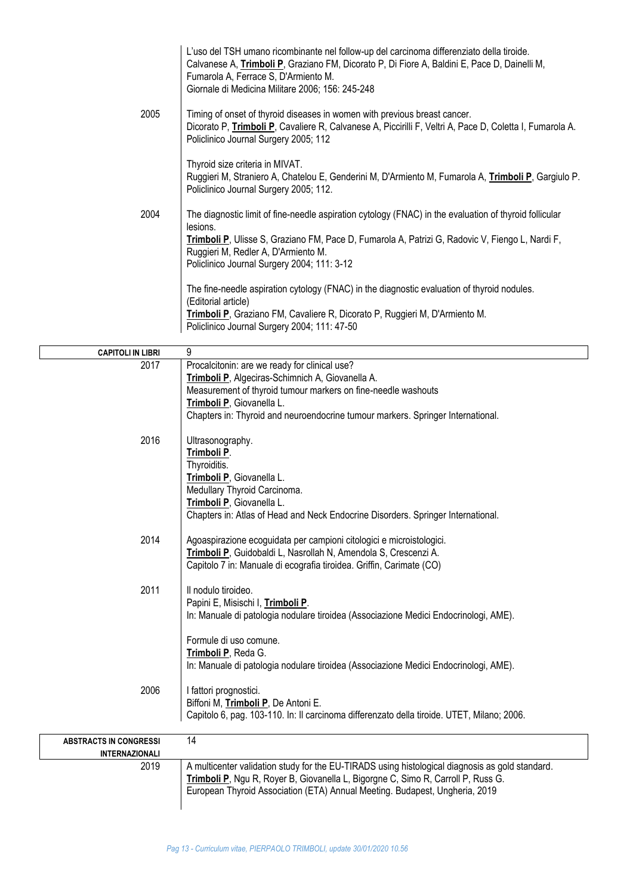|                                  | L'uso del TSH umano ricombinante nel follow-up del carcinoma differenziato della tiroide.<br>Calvanese A, Trimboli P, Graziano FM, Dicorato P, Di Fiore A, Baldini E, Pace D, Dainelli M,<br>Fumarola A, Ferrace S, D'Armiento M.<br>Giornale di Medicina Militare 2006; 156: 245-248                       |
|----------------------------------|-------------------------------------------------------------------------------------------------------------------------------------------------------------------------------------------------------------------------------------------------------------------------------------------------------------|
| 2005                             | Timing of onset of thyroid diseases in women with previous breast cancer.<br>Dicorato P, Trimboli P, Cavaliere R, Calvanese A, Piccirilli F, Veltri A, Pace D, Coletta I, Fumarola A.<br>Policlinico Journal Surgery 2005; 112                                                                              |
|                                  | Thyroid size criteria in MIVAT.<br>Ruggieri M, Straniero A, Chatelou E, Genderini M, D'Armiento M, Fumarola A, Trimboli P, Gargiulo P.<br>Policlinico Journal Surgery 2005; 112.                                                                                                                            |
| 2004                             | The diagnostic limit of fine-needle aspiration cytology (FNAC) in the evaluation of thyroid follicular<br>lesions.<br>Trimboli P, Ulisse S, Graziano FM, Pace D, Fumarola A, Patrizi G, Radovic V, Fiengo L, Nardi F,<br>Ruggieri M, Redler A, D'Armiento M.<br>Policlinico Journal Surgery 2004; 111: 3-12 |
|                                  | The fine-needle aspiration cytology (FNAC) in the diagnostic evaluation of thyroid nodules.<br>(Editorial article)<br>Trimboli P, Graziano FM, Cavaliere R, Dicorato P, Ruggieri M, D'Armiento M.<br>Policlinico Journal Surgery 2004; 111: 47-50                                                           |
|                                  |                                                                                                                                                                                                                                                                                                             |
| <b>CAPITOLI IN LIBRI</b><br>2017 | 9<br>Procalcitonin: are we ready for clinical use?                                                                                                                                                                                                                                                          |
|                                  | Trimboli P, Algeciras-Schimnich A, Giovanella A.<br>Measurement of thyroid tumour markers on fine-needle washouts<br>Trimboli P, Giovanella L.<br>Chapters in: Thyroid and neuroendocrine tumour markers. Springer International.                                                                           |
| 2016                             | Ultrasonography.<br>Trimboli P.<br>Thyroiditis.<br>Trimboli P, Giovanella L.<br>Medullary Thyroid Carcinoma.<br>Trimboli P, Giovanella L.<br>Chapters in: Atlas of Head and Neck Endocrine Disorders. Springer International.                                                                               |
| 2014                             | Agoaspirazione ecoguidata per campioni citologici e microistologici.<br>Trimboli P, Guidobaldi L, Nasrollah N, Amendola S, Crescenzi A.<br>Capitolo 7 in: Manuale di ecografia tiroidea. Griffin, Carimate (CO)                                                                                             |
| 2011                             | Il nodulo tiroideo.<br>Papini E, Misischi I, Trimboli P.<br>In: Manuale di patologia nodulare tiroidea (Associazione Medici Endocrinologi, AME).                                                                                                                                                            |
|                                  | Formule di uso comune.<br>Trimboli P, Reda G.<br>In: Manuale di patologia nodulare tiroidea (Associazione Medici Endocrinologi, AME).                                                                                                                                                                       |
| 2006                             | I fattori prognostici.<br>Biffoni M, Trimboli P, De Antoni E.<br>Capitolo 6, pag. 103-110. In: Il carcinoma differenzato della tiroide. UTET, Milano; 2006.                                                                                                                                                 |
| <b>ABSTRACTS IN CONGRESSI</b>    | 14                                                                                                                                                                                                                                                                                                          |
| <b>INTERNAZIONALI</b>            |                                                                                                                                                                                                                                                                                                             |
| 2019                             | A multicenter validation study for the EU-TIRADS using histological diagnosis as gold standard.<br>Trimboli P, Ngu R, Royer B, Giovanella L, Bigorgne C, Simo R, Carroll P, Russ G.<br>European Thyroid Association (ETA) Annual Meeting. Budapest, Ungheria, 2019                                          |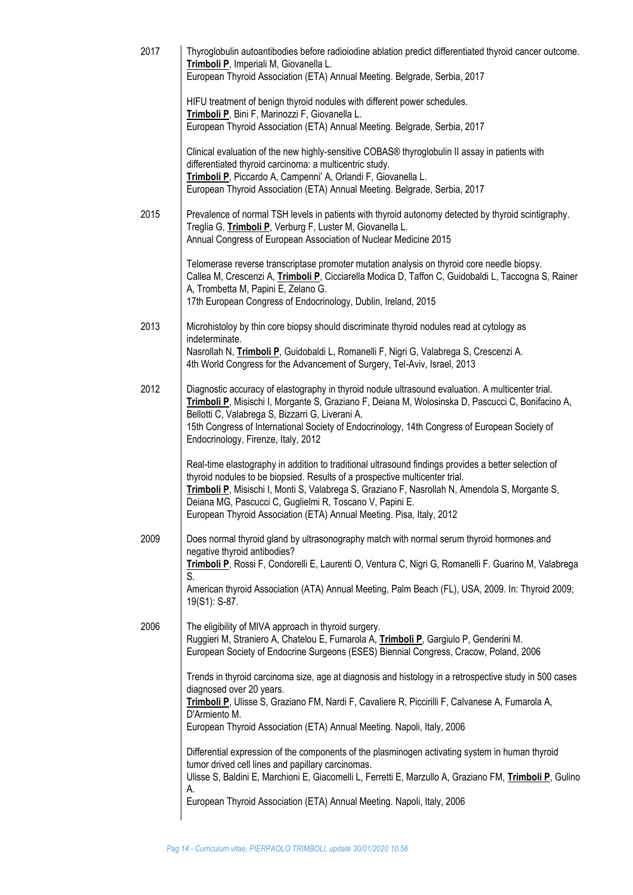| HIFU treatment of benign thyroid nodules with different power schedules.<br>Trimboli P, Bini F, Marinozzi F, Giovanella L.<br>European Thyroid Association (ETA) Annual Meeting. Belgrade, Serbia, 2017<br>Clinical evaluation of the new highly-sensitive COBAS® thyroglobulin II assay in patients with<br>differentiated thyroid carcinoma: a multicentric study.<br>Trimboli P, Piccardo A, Campenni' A, Orlandi F, Giovanella L.<br>European Thyroid Association (ETA) Annual Meeting. Belgrade, Serbia, 2017<br>2015<br>Treglia G, Trimboli P, Verburg F, Luster M, Giovanella L.<br>Annual Congress of European Association of Nuclear Medicine 2015<br>Telomerase reverse transcriptase promoter mutation analysis on thyroid core needle biopsy.<br>A, Trombetta M, Papini E, Zelano G.<br>17th European Congress of Endocrinology, Dublin, Ireland, 2015<br>2013<br>Microhistoloy by thin core biopsy should discriminate thyroid nodules read at cytology as<br>indeterminate.<br>Nasrollah N, Trimboli P, Guidobaldi L, Romanelli F, Nigri G, Valabrega S, Crescenzi A.<br>4th World Congress for the Advancement of Surgery, Tel-Aviv, Israel, 2013<br>2012<br>Diagnostic accuracy of elastography in thyroid nodule ultrasound evaluation. A multicenter trial.<br>Bellotti C, Valabrega S, Bizzarri G, Liverani A.<br>15th Congress of International Society of Endocrinology, 14th Congress of European Society of<br>Endocrinology, Firenze, Italy, 2012<br>Real-time elastography in addition to traditional ultrasound findings provides a better selection of<br>thyroid nodules to be biopsied. Results of a prospective multicenter trial.<br>Trimboli P, Misischi I, Monti S, Valabrega S, Graziano F, Nasrollah N, Amendola S, Morgante S,<br>Deiana MG, Pascucci C, Guglielmi R, Toscano V, Papini E.<br>European Thyroid Association (ETA) Annual Meeting. Pisa, Italy, 2012<br>2009<br>Does normal thyroid gland by ultrasonography match with normal serum thyroid hormones and<br>negative thyroid antibodies?<br>S.<br>19(S1): S-87.<br>2006<br>The eligibility of MIVA approach in thyroid surgery.<br>Ruggieri M, Straniero A, Chatelou E, Fumarola A, Trimboli P, Gargiulo P, Genderini M.<br>European Society of Endocrine Surgeons (ESES) Biennial Congress, Cracow, Poland, 2006<br>diagnosed over 20 years.<br>Trimboli P, Ulisse S, Graziano FM, Nardi F, Cavaliere R, Piccirilli F, Calvanese A, Fumarola A,<br>D'Armiento M.<br>European Thyroid Association (ETA) Annual Meeting. Napoli, Italy, 2006 | 2017 | Thyroglobulin autoantibodies before radioiodine ablation predict differentiated thyroid cancer outcome.<br>Trimboli P, Imperiali M, Giovanella L.<br>European Thyroid Association (ETA) Annual Meeting. Belgrade, Serbia, 2017 |  |
|------------------------------------------------------------------------------------------------------------------------------------------------------------------------------------------------------------------------------------------------------------------------------------------------------------------------------------------------------------------------------------------------------------------------------------------------------------------------------------------------------------------------------------------------------------------------------------------------------------------------------------------------------------------------------------------------------------------------------------------------------------------------------------------------------------------------------------------------------------------------------------------------------------------------------------------------------------------------------------------------------------------------------------------------------------------------------------------------------------------------------------------------------------------------------------------------------------------------------------------------------------------------------------------------------------------------------------------------------------------------------------------------------------------------------------------------------------------------------------------------------------------------------------------------------------------------------------------------------------------------------------------------------------------------------------------------------------------------------------------------------------------------------------------------------------------------------------------------------------------------------------------------------------------------------------------------------------------------------------------------------------------------------------------------------------------------------------------------------------------------------------------------------------------------------------------------------------------------------------------------------------------------------------------------------------------------------------------------------------------------------------------------------------------------------------------------------------------------------------------------------------------------------------------------|------|--------------------------------------------------------------------------------------------------------------------------------------------------------------------------------------------------------------------------------|--|
|                                                                                                                                                                                                                                                                                                                                                                                                                                                                                                                                                                                                                                                                                                                                                                                                                                                                                                                                                                                                                                                                                                                                                                                                                                                                                                                                                                                                                                                                                                                                                                                                                                                                                                                                                                                                                                                                                                                                                                                                                                                                                                                                                                                                                                                                                                                                                                                                                                                                                                                                                |      |                                                                                                                                                                                                                                |  |
|                                                                                                                                                                                                                                                                                                                                                                                                                                                                                                                                                                                                                                                                                                                                                                                                                                                                                                                                                                                                                                                                                                                                                                                                                                                                                                                                                                                                                                                                                                                                                                                                                                                                                                                                                                                                                                                                                                                                                                                                                                                                                                                                                                                                                                                                                                                                                                                                                                                                                                                                                |      |                                                                                                                                                                                                                                |  |
|                                                                                                                                                                                                                                                                                                                                                                                                                                                                                                                                                                                                                                                                                                                                                                                                                                                                                                                                                                                                                                                                                                                                                                                                                                                                                                                                                                                                                                                                                                                                                                                                                                                                                                                                                                                                                                                                                                                                                                                                                                                                                                                                                                                                                                                                                                                                                                                                                                                                                                                                                |      | Prevalence of normal TSH levels in patients with thyroid autonomy detected by thyroid scintigraphy.                                                                                                                            |  |
|                                                                                                                                                                                                                                                                                                                                                                                                                                                                                                                                                                                                                                                                                                                                                                                                                                                                                                                                                                                                                                                                                                                                                                                                                                                                                                                                                                                                                                                                                                                                                                                                                                                                                                                                                                                                                                                                                                                                                                                                                                                                                                                                                                                                                                                                                                                                                                                                                                                                                                                                                |      | Callea M, Crescenzi A, Trimboli P, Cicciarella Modica D, Taffon C, Guidobaldi L, Taccogna S, Rainer                                                                                                                            |  |
|                                                                                                                                                                                                                                                                                                                                                                                                                                                                                                                                                                                                                                                                                                                                                                                                                                                                                                                                                                                                                                                                                                                                                                                                                                                                                                                                                                                                                                                                                                                                                                                                                                                                                                                                                                                                                                                                                                                                                                                                                                                                                                                                                                                                                                                                                                                                                                                                                                                                                                                                                |      |                                                                                                                                                                                                                                |  |
|                                                                                                                                                                                                                                                                                                                                                                                                                                                                                                                                                                                                                                                                                                                                                                                                                                                                                                                                                                                                                                                                                                                                                                                                                                                                                                                                                                                                                                                                                                                                                                                                                                                                                                                                                                                                                                                                                                                                                                                                                                                                                                                                                                                                                                                                                                                                                                                                                                                                                                                                                |      | Trimboli P, Misischi I, Morgante S, Graziano F, Deiana M, Wolosinska D, Pascucci C, Bonifacino A,                                                                                                                              |  |
|                                                                                                                                                                                                                                                                                                                                                                                                                                                                                                                                                                                                                                                                                                                                                                                                                                                                                                                                                                                                                                                                                                                                                                                                                                                                                                                                                                                                                                                                                                                                                                                                                                                                                                                                                                                                                                                                                                                                                                                                                                                                                                                                                                                                                                                                                                                                                                                                                                                                                                                                                |      |                                                                                                                                                                                                                                |  |
|                                                                                                                                                                                                                                                                                                                                                                                                                                                                                                                                                                                                                                                                                                                                                                                                                                                                                                                                                                                                                                                                                                                                                                                                                                                                                                                                                                                                                                                                                                                                                                                                                                                                                                                                                                                                                                                                                                                                                                                                                                                                                                                                                                                                                                                                                                                                                                                                                                                                                                                                                |      | Trimboli P, Rossi F, Condorelli E, Laurenti O, Ventura C, Nigri G, Romanelli F. Guarino M, Valabrega<br>American thyroid Association (ATA) Annual Meeting, Palm Beach (FL), USA, 2009. In: Thyroid 2009;                       |  |
|                                                                                                                                                                                                                                                                                                                                                                                                                                                                                                                                                                                                                                                                                                                                                                                                                                                                                                                                                                                                                                                                                                                                                                                                                                                                                                                                                                                                                                                                                                                                                                                                                                                                                                                                                                                                                                                                                                                                                                                                                                                                                                                                                                                                                                                                                                                                                                                                                                                                                                                                                |      |                                                                                                                                                                                                                                |  |
|                                                                                                                                                                                                                                                                                                                                                                                                                                                                                                                                                                                                                                                                                                                                                                                                                                                                                                                                                                                                                                                                                                                                                                                                                                                                                                                                                                                                                                                                                                                                                                                                                                                                                                                                                                                                                                                                                                                                                                                                                                                                                                                                                                                                                                                                                                                                                                                                                                                                                                                                                |      | Trends in thyroid carcinoma size, age at diagnosis and histology in a retrospective study in 500 cases                                                                                                                         |  |
| tumor drived cell lines and papillary carcinomas.                                                                                                                                                                                                                                                                                                                                                                                                                                                                                                                                                                                                                                                                                                                                                                                                                                                                                                                                                                                                                                                                                                                                                                                                                                                                                                                                                                                                                                                                                                                                                                                                                                                                                                                                                                                                                                                                                                                                                                                                                                                                                                                                                                                                                                                                                                                                                                                                                                                                                              |      | Differential expression of the components of the plasminogen activating system in human thyroid<br>Ulisse S, Baldini E, Marchioni E, Giacomelli L, Ferretti E, Marzullo A, Graziano FM, Trimboli P, Gulino                     |  |
| А.<br>European Thyroid Association (ETA) Annual Meeting. Napoli, Italy, 2006                                                                                                                                                                                                                                                                                                                                                                                                                                                                                                                                                                                                                                                                                                                                                                                                                                                                                                                                                                                                                                                                                                                                                                                                                                                                                                                                                                                                                                                                                                                                                                                                                                                                                                                                                                                                                                                                                                                                                                                                                                                                                                                                                                                                                                                                                                                                                                                                                                                                   |      |                                                                                                                                                                                                                                |  |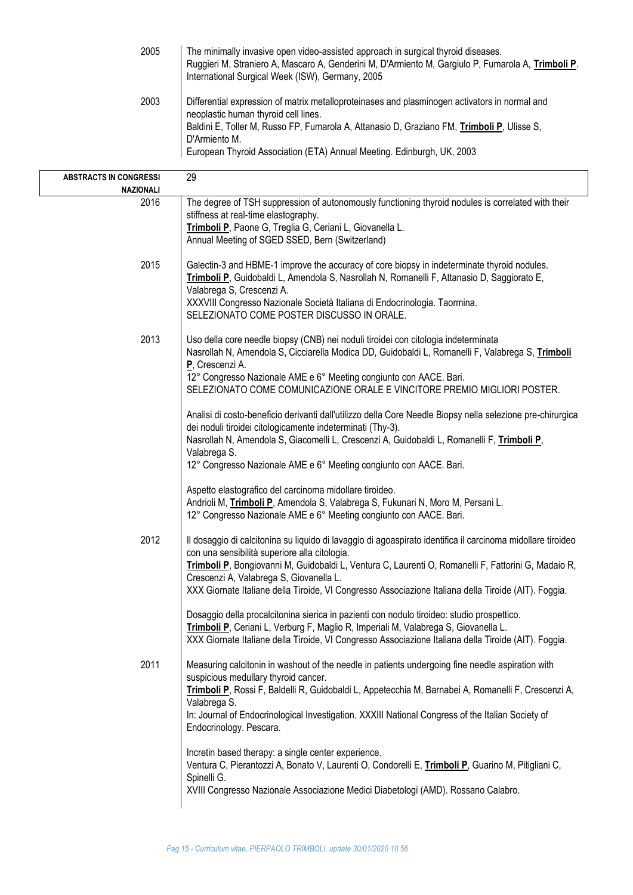| 2005 | The minimally invasive open video-assisted approach in surgical thyroid diseases.<br>Ruggieri M, Straniero A, Mascaro A, Genderini M, D'Armiento M, Gargiulo P, Fumarola A, Trimboli P.<br>International Surgical Week (ISW), Germany, 2005                                                                                    |
|------|--------------------------------------------------------------------------------------------------------------------------------------------------------------------------------------------------------------------------------------------------------------------------------------------------------------------------------|
| 2003 | Differential expression of matrix metalloproteinases and plasminogen activators in normal and<br>neoplastic human thyroid cell lines.<br>Baldini E, Toller M, Russo FP, Fumarola A, Attanasio D, Graziano FM, Trimboli P, Ulisse S,<br>D'Armiento M.<br>European Thyroid Association (ETA) Annual Meeting. Edinburgh, UK, 2003 |

| <b>ABSTRACTS IN CONGRESSI</b> | 29                                                                                                                                                       |
|-------------------------------|----------------------------------------------------------------------------------------------------------------------------------------------------------|
| NAZIONALI<br>2016             | The degree of TSH suppression of autonomously functioning thyroid nodules is correlated with their                                                       |
|                               | stiffness at real-time elastography.                                                                                                                     |
|                               | Trimboli P, Paone G, Treglia G, Ceriani L, Giovanella L.                                                                                                 |
|                               | Annual Meeting of SGED SSED, Bern (Switzerland)                                                                                                          |
| 2015                          | Galectin-3 and HBME-1 improve the accuracy of core biopsy in indeterminate thyroid nodules.                                                              |
|                               | Trimboli P, Guidobaldi L, Amendola S, Nasrollah N, Romanelli F, Attanasio D, Saggiorato E,<br>Valabrega S, Crescenzi A.                                  |
|                               | XXXVIII Congresso Nazionale Società Italiana di Endocrinologia. Taormina.                                                                                |
|                               | SELEZIONATO COME POSTER DISCUSSO IN ORALE.                                                                                                               |
| 2013                          | Uso della core needle biopsy (CNB) nei noduli tiroidei con citologia indeterminata                                                                       |
|                               | Nasrollah N, Amendola S, Cicciarella Modica DD, Guidobaldi L, Romanelli F, Valabrega S, Trimboli                                                         |
|                               | P, Crescenzi A.<br>12° Congresso Nazionale AME e 6° Meeting congiunto con AACE. Bari.                                                                    |
|                               | SELEZIONATO COME COMUNICAZIONE ORALE E VINCITORE PREMIO MIGLIORI POSTER.                                                                                 |
|                               | Analisi di costo-beneficio derivanti dall'utilizzo della Core Needle Biopsy nella selezione pre-chirurgica                                               |
|                               | dei noduli tiroidei citologicamente indeterminati (Thy-3).<br>Nasrollah N, Amendola S, Giacomelli L, Crescenzi A, Guidobaldi L, Romanelli F, Trimboli P, |
|                               | Valabrega S.                                                                                                                                             |
|                               | 12° Congresso Nazionale AME e 6° Meeting congiunto con AACE. Bari.                                                                                       |
|                               | Aspetto elastografico del carcinoma midollare tiroideo.                                                                                                  |
|                               | Andrioli M, Trimboli P, Amendola S, Valabrega S, Fukunari N, Moro M, Persani L.                                                                          |
|                               | 12° Congresso Nazionale AME e 6° Meeting congiunto con AACE. Bari.                                                                                       |
| 2012                          | Il dosaggio di calcitonina su liquido di lavaggio di agoaspirato identifica il carcinoma midollare tiroideo                                              |
|                               | con una sensibilità superiore alla citologia.<br>Trimboli P, Bongiovanni M, Guidobaldi L, Ventura C, Laurenti O, Romanelli F, Fattorini G, Madaio R,     |
|                               | Crescenzi A, Valabrega S, Giovanella L.                                                                                                                  |
|                               | XXX Giornate Italiane della Tiroide, VI Congresso Associazione Italiana della Tiroide (AIT). Foggia.                                                     |
|                               | Dosaggio della procalcitonina sierica in pazienti con nodulo tiroideo: studio prospettico.                                                               |
|                               | Trimboli P, Ceriani L, Verburg F, Maglio R, Imperiali M, Valabrega S, Giovanella L.                                                                      |
|                               | XXX Giornate Italiane della Tiroide, VI Congresso Associazione Italiana della Tiroide (AIT). Foggia.                                                     |
| 2011                          | Measuring calcitonin in washout of the needle in patients undergoing fine needle aspiration with<br>suspicious medullary thyroid cancer.                 |
|                               | Trimboli P, Rossi F, Baldelli R, Guidobaldi L, Appetecchia M, Barnabei A, Romanelli F, Crescenzi A,                                                      |
|                               | Valabrega S.<br>In: Journal of Endocrinological Investigation. XXXIII National Congress of the Italian Society of                                        |
|                               | Endocrinology. Pescara.                                                                                                                                  |
|                               | Incretin based therapy: a single center experience.                                                                                                      |
|                               | Ventura C, Pierantozzi A, Bonato V, Laurenti O, Condorelli E, Trimboli P, Guarino M, Pitigliani C,                                                       |
|                               | Spinelli G.<br>XVIII Congresso Nazionale Associazione Medici Diabetologi (AMD). Rossano Calabro.                                                         |
|                               |                                                                                                                                                          |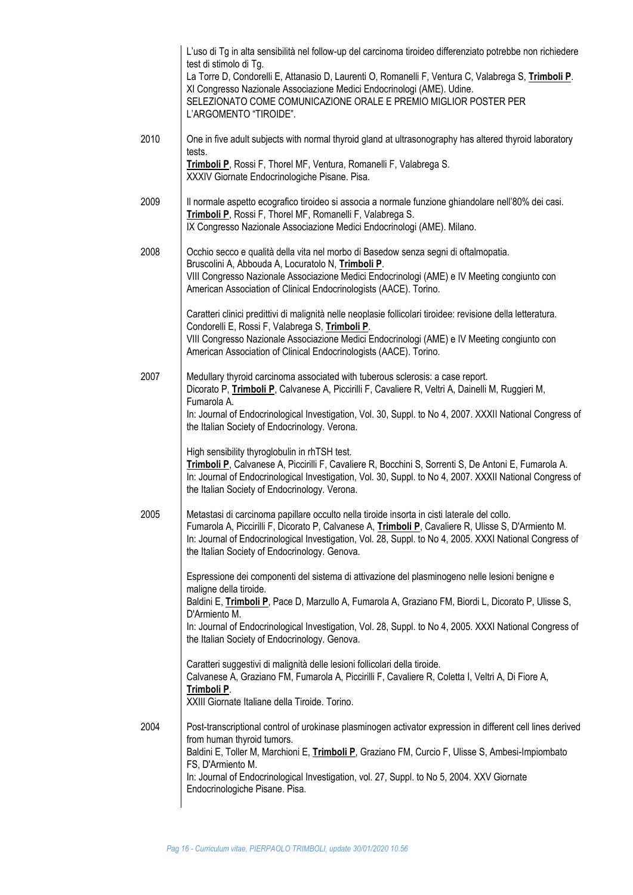| L'uso di Tg in alta sensibilità nel follow-up del carcinoma tiroideo differenziato potrebbe non richiedere<br>test di stimolo di Tg.<br>La Torre D, Condorelli E, Attanasio D, Laurenti O, Romanelli F, Ventura C, Valabrega S, Trimboli P.<br>XI Congresso Nazionale Associazione Medici Endocrinologi (AME). Udine.<br>SELEZIONATO COME COMUNICAZIONE ORALE E PREMIO MIGLIOR POSTER PER<br>L'ARGOMENTO "TIROIDE". |
|---------------------------------------------------------------------------------------------------------------------------------------------------------------------------------------------------------------------------------------------------------------------------------------------------------------------------------------------------------------------------------------------------------------------|
| One in five adult subjects with normal thyroid gland at ultrasonography has altered thyroid laboratory<br>tests.<br>Trimboli P, Rossi F, Thorel MF, Ventura, Romanelli F, Valabrega S.                                                                                                                                                                                                                              |
| XXXIV Giornate Endocrinologiche Pisane. Pisa.<br>Il normale aspetto ecografico tiroideo si associa a normale funzione ghiandolare nell'80% dei casi.<br>Trimboli P, Rossi F, Thorel MF, Romanelli F, Valabrega S.<br>IX Congresso Nazionale Associazione Medici Endocrinologi (AME). Milano.                                                                                                                        |
| Occhio secco e qualità della vita nel morbo di Basedow senza segni di oftalmopatia.<br>Bruscolini A, Abbouda A, Locuratolo N, Trimboli P.<br>VIII Congresso Nazionale Associazione Medici Endocrinologi (AME) e IV Meeting congiunto con<br>American Association of Clinical Endocrinologists (AACE). Torino.                                                                                                       |
| Caratteri clinici predittivi di malignità nelle neoplasie follicolari tiroidee: revisione della letteratura.<br>Condorelli E, Rossi F, Valabrega S, Trimboli P.<br>VIII Congresso Nazionale Associazione Medici Endocrinologi (AME) e IV Meeting congiunto con<br>American Association of Clinical Endocrinologists (AACE). Torino.                                                                                 |
| Medullary thyroid carcinoma associated with tuberous sclerosis: a case report.<br>Dicorato P, Trimboli P, Calvanese A, Piccirilli F, Cavaliere R, Veltri A, Dainelli M, Ruggieri M,<br>Fumarola A.<br>In: Journal of Endocrinological Investigation, Vol. 30, Suppl. to No 4, 2007. XXXII National Congress of<br>the Italian Society of Endocrinology. Verona.                                                     |
| High sensibility thyroglobulin in rhTSH test.<br>Trimboli P, Calvanese A, Piccirilli F, Cavaliere R, Bocchini S, Sorrenti S, De Antoni E, Fumarola A.<br>In: Journal of Endocrinological Investigation, Vol. 30, Suppl. to No 4, 2007. XXXII National Congress of<br>the Italian Society of Endocrinology. Verona.                                                                                                  |
| Metastasi di carcinoma papillare occulto nella tiroide insorta in cisti laterale del collo.<br>Fumarola A, Piccirilli F, Dicorato P, Calvanese A, Trimboli P, Cavaliere R, Ulisse S, D'Armiento M.<br>In: Journal of Endocrinological Investigation, Vol. 28, Suppl. to No 4, 2005. XXXI National Congress of<br>the Italian Society of Endocrinology. Genova.                                                      |
| Espressione dei componenti del sistema di attivazione del plasminogeno nelle lesioni benigne e<br>maligne della tiroide.<br>Baldini E, Trimboli P, Pace D, Marzullo A, Fumarola A, Graziano FM, Biordi L, Dicorato P, Ulisse S,<br>D'Armiento M.<br>In: Journal of Endocrinological Investigation, Vol. 28, Suppl. to No 4, 2005. XXXI National Congress of<br>the Italian Society of Endocrinology. Genova.        |
| Caratteri suggestivi di malignità delle lesioni follicolari della tiroide.<br>Calvanese A, Graziano FM, Fumarola A, Piccirilli F, Cavaliere R, Coletta I, Veltri A, Di Fiore A,<br>Trimboli P.<br>XXIII Giornate Italiane della Tiroide. Torino.                                                                                                                                                                    |
| Post-transcriptional control of urokinase plasminogen activator expression in different cell lines derived<br>from human thyroid tumors.<br>Baldini E, Toller M, Marchioni E, Trimboli P, Graziano FM, Curcio F, Ulisse S, Ambesi-Impiombato<br>FS, D'Armiento M.<br>In: Journal of Endocrinological Investigation, vol. 27, Suppl. to No 5, 2004. XXV Giornate<br>Endocrinologiche Pisane. Pisa.                   |
|                                                                                                                                                                                                                                                                                                                                                                                                                     |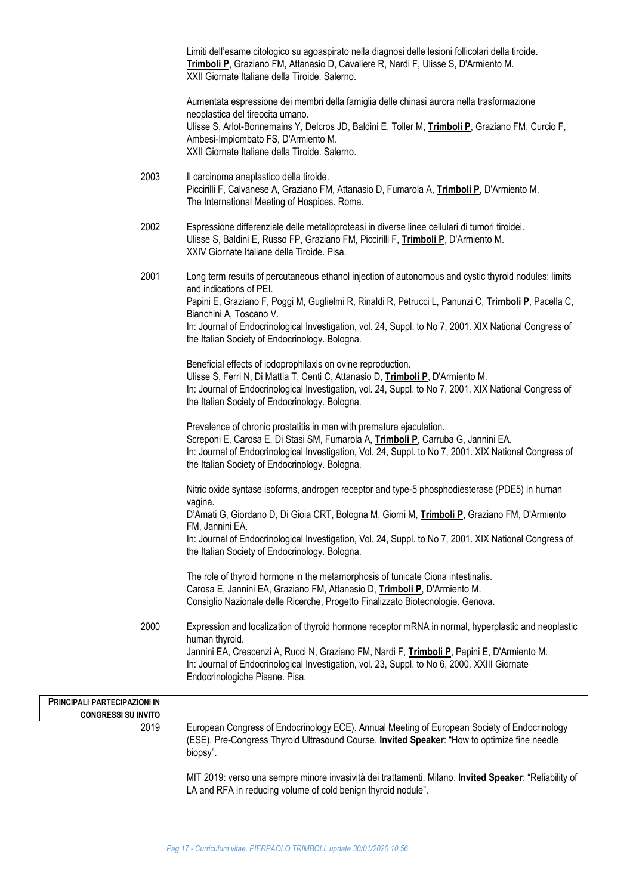|                                    | Limiti dell'esame citologico su agoaspirato nella diagnosi delle lesioni follicolari della tiroide.<br>Trimboli P, Graziano FM, Attanasio D, Cavaliere R, Nardi F, Ulisse S, D'Armiento M.<br>XXII Giornate Italiane della Tiroide. Salerno.                                                                                                                                                                                   |
|------------------------------------|--------------------------------------------------------------------------------------------------------------------------------------------------------------------------------------------------------------------------------------------------------------------------------------------------------------------------------------------------------------------------------------------------------------------------------|
|                                    | Aumentata espressione dei membri della famiglia delle chinasi aurora nella trasformazione<br>neoplastica del tireocita umano.<br>Ulisse S, Arlot-Bonnemains Y, Delcros JD, Baldini E, Toller M, Trimboli P, Graziano FM, Curcio F,<br>Ambesi-Impiombato FS, D'Armiento M.<br>XXII Giornate Italiane della Tiroide. Salerno.                                                                                                    |
| 2003                               | Il carcinoma anaplastico della tiroide.<br>Piccirilli F, Calvanese A, Graziano FM, Attanasio D, Fumarola A, Trimboli P, D'Armiento M.<br>The International Meeting of Hospices. Roma.                                                                                                                                                                                                                                          |
| 2002                               | Espressione differenziale delle metalloproteasi in diverse linee cellulari di tumori tiroidei.<br>Ulisse S, Baldini E, Russo FP, Graziano FM, Piccirilli F, Trimboli P, D'Armiento M.<br>XXIV Giornate Italiane della Tiroide. Pisa.                                                                                                                                                                                           |
| 2001                               | Long term results of percutaneous ethanol injection of autonomous and cystic thyroid nodules: limits<br>and indications of PEI.<br>Papini E, Graziano F, Poggi M, Guglielmi R, Rinaldi R, Petrucci L, Panunzi C, Trimboli P, Pacella C,<br>Bianchini A, Toscano V.<br>In: Journal of Endocrinological Investigation, vol. 24, Suppl. to No 7, 2001. XIX National Congress of<br>the Italian Society of Endocrinology. Bologna. |
|                                    | Beneficial effects of iodoprophilaxis on ovine reproduction.<br>Ulisse S, Ferri N, Di Mattia T, Centi C, Attanasio D, Trimboli P, D'Armiento M.<br>In: Journal of Endocrinological Investigation, vol. 24, Suppl. to No 7, 2001. XIX National Congress of<br>the Italian Society of Endocrinology. Bologna.                                                                                                                    |
|                                    | Prevalence of chronic prostatitis in men with premature ejaculation.<br>Screponi E, Carosa E, Di Stasi SM, Fumarola A, Trimboli P, Carruba G, Jannini EA.<br>In: Journal of Endocrinological Investigation, Vol. 24, Suppl. to No 7, 2001. XIX National Congress of<br>the Italian Society of Endocrinology. Bologna.                                                                                                          |
|                                    | Nitric oxide syntase isoforms, androgen receptor and type-5 phosphodiesterase (PDE5) in human<br>vagina.<br>D'Amati G, Giordano D, Di Gioia CRT, Bologna M, Giorni M, Trimboli P, Graziano FM, D'Armiento<br>FM, Jannini EA.<br>In: Journal of Endocrinological Investigation, Vol. 24, Suppl. to No 7, 2001. XIX National Congress of<br>the Italian Society of Endocrinology. Bologna.                                       |
|                                    | The role of thyroid hormone in the metamorphosis of tunicate Ciona intestinalis.<br>Carosa E, Jannini EA, Graziano FM, Attanasio D, Trimboli P, D'Armiento M.<br>Consiglio Nazionale delle Ricerche, Progetto Finalizzato Biotecnologie. Genova.                                                                                                                                                                               |
| 2000                               | Expression and localization of thyroid hormone receptor mRNA in normal, hyperplastic and neoplastic<br>human thyroid.<br>Jannini EA, Crescenzi A, Rucci N, Graziano FM, Nardi F, Trimboli P, Papini E, D'Armiento M.<br>In: Journal of Endocrinological Investigation, vol. 23, Suppl. to No 6, 2000. XXIII Giornate<br>Endocrinologiche Pisane. Pisa.                                                                         |
| PRINCIPALI PARTECIPAZIONI IN       |                                                                                                                                                                                                                                                                                                                                                                                                                                |
| <b>CONGRESSI SU INVITO</b><br>2019 | European Congress of Endocrinology ECE). Annual Meeting of European Society of Endocrinology<br>(ESE). Pre-Congress Thyroid Ultrasound Course. Invited Speaker: "How to optimize fine needle<br>biopsy".                                                                                                                                                                                                                       |
|                                    | MIT 2019: verso una sempre minore invasività dei trattamenti. Milano. Invited Speaker: "Reliability of<br>LA and RFA in reducing volume of cold benign thyroid nodule".                                                                                                                                                                                                                                                        |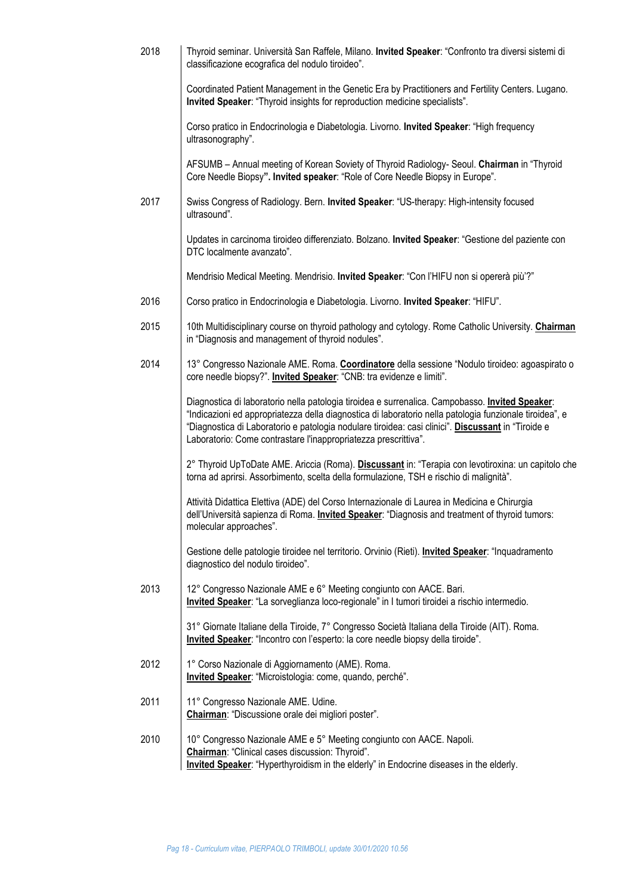| 2018 | Thyroid seminar. Università San Raffele, Milano. Invited Speaker: "Confronto tra diversi sistemi di<br>classificazione ecografica del nodulo tiroideo".                                                                                                                                                                                                                             |
|------|-------------------------------------------------------------------------------------------------------------------------------------------------------------------------------------------------------------------------------------------------------------------------------------------------------------------------------------------------------------------------------------|
|      | Coordinated Patient Management in the Genetic Era by Practitioners and Fertility Centers. Lugano.<br>Invited Speaker: "Thyroid insights for reproduction medicine specialists".                                                                                                                                                                                                     |
|      | Corso pratico in Endocrinologia e Diabetologia. Livorno. Invited Speaker: "High frequency<br>ultrasonography".                                                                                                                                                                                                                                                                      |
|      | AFSUMB - Annual meeting of Korean Soviety of Thyroid Radiology- Seoul. Chairman in "Thyroid<br>Core Needle Biopsy". Invited speaker: "Role of Core Needle Biopsy in Europe".                                                                                                                                                                                                        |
| 2017 | Swiss Congress of Radiology. Bern. Invited Speaker: "US-therapy: High-intensity focused<br>ultrasound".                                                                                                                                                                                                                                                                             |
|      | Updates in carcinoma tiroideo differenziato. Bolzano. Invited Speaker: "Gestione del paziente con<br>DTC localmente avanzato".                                                                                                                                                                                                                                                      |
|      | Mendrisio Medical Meeting. Mendrisio. Invited Speaker: "Con l'HIFU non si opererà più'?"                                                                                                                                                                                                                                                                                            |
| 2016 | Corso pratico in Endocrinologia e Diabetologia. Livorno. Invited Speaker: "HIFU".                                                                                                                                                                                                                                                                                                   |
| 2015 | 10th Multidisciplinary course on thyroid pathology and cytology. Rome Catholic University. Chairman<br>in "Diagnosis and management of thyroid nodules".                                                                                                                                                                                                                            |
| 2014 | 13° Congresso Nazionale AME. Roma. Coordinatore della sessione "Nodulo tiroideo: agoaspirato o<br>core needle biopsy?". Invited Speaker: "CNB: tra evidenze e limiti".                                                                                                                                                                                                              |
|      | Diagnostica di laboratorio nella patologia tiroidea e surrenalica. Campobasso. Invited Speaker:<br>"Indicazioni ed appropriatezza della diagnostica di laboratorio nella patologia funzionale tiroidea", e<br>"Diagnostica di Laboratorio e patologia nodulare tiroidea: casi clinici". Discussant in "Tiroide e<br>Laboratorio: Come contrastare l'inappropriatezza prescrittiva". |
|      | 2° Thyroid UpToDate AME. Ariccia (Roma). Discussant in: "Terapia con levotiroxina: un capitolo che<br>torna ad aprirsi. Assorbimento, scelta della formulazione, TSH e rischio di malignità".                                                                                                                                                                                       |
|      | Attività Didattica Elettiva (ADE) del Corso Internazionale di Laurea in Medicina e Chirurgia<br>dell'Università sapienza di Roma. Invited Speaker: "Diagnosis and treatment of thyroid tumors:<br>molecular approaches".                                                                                                                                                            |
|      | Gestione delle patologie tiroidee nel territorio. Orvinio (Rieti). Invited Speaker: "Inquadramento<br>diagnostico del nodulo tiroideo".                                                                                                                                                                                                                                             |
| 2013 | 12° Congresso Nazionale AME e 6° Meeting congiunto con AACE. Bari.<br>Invited Speaker: "La sorveglianza loco-regionale" in I tumori tiroidei a rischio intermedio.                                                                                                                                                                                                                  |
|      | 31° Giornate Italiane della Tiroide, 7° Congresso Società Italiana della Tiroide (AIT). Roma.<br>Invited Speaker: "Incontro con l'esperto: la core needle biopsy della tiroide".                                                                                                                                                                                                    |
| 2012 | 1° Corso Nazionale di Aggiornamento (AME). Roma.<br>Invited Speaker: "Microistologia: come, quando, perché".                                                                                                                                                                                                                                                                        |
| 2011 | 11° Congresso Nazionale AME. Udine.<br>Chairman: "Discussione orale dei migliori poster".                                                                                                                                                                                                                                                                                           |
| 2010 | 10° Congresso Nazionale AME e 5° Meeting congiunto con AACE. Napoli.<br>Chairman: "Clinical cases discussion: Thyroid".<br><b>Invited Speaker:</b> "Hyperthyroidism in the elderly" in Endocrine diseases in the elderly.                                                                                                                                                           |